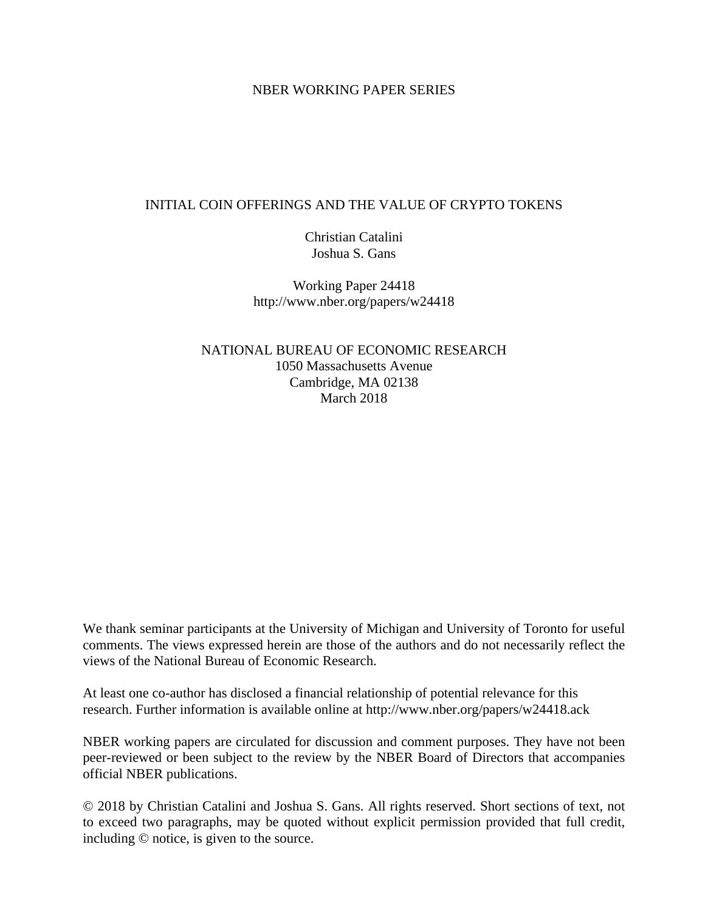#### NBER WORKING PAPER SERIES

#### INITIAL COIN OFFERINGS AND THE VALUE OF CRYPTO TOKENS

Christian Catalini Joshua S. Gans

Working Paper 24418 http://www.nber.org/papers/w24418

NATIONAL BUREAU OF ECONOMIC RESEARCH 1050 Massachusetts Avenue Cambridge, MA 02138 March 2018

We thank seminar participants at the University of Michigan and University of Toronto for useful comments. The views expressed herein are those of the authors and do not necessarily reflect the views of the National Bureau of Economic Research.

At least one co-author has disclosed a financial relationship of potential relevance for this research. Further information is available online at http://www.nber.org/papers/w24418.ack

NBER working papers are circulated for discussion and comment purposes. They have not been peer-reviewed or been subject to the review by the NBER Board of Directors that accompanies official NBER publications.

© 2018 by Christian Catalini and Joshua S. Gans. All rights reserved. Short sections of text, not to exceed two paragraphs, may be quoted without explicit permission provided that full credit, including © notice, is given to the source.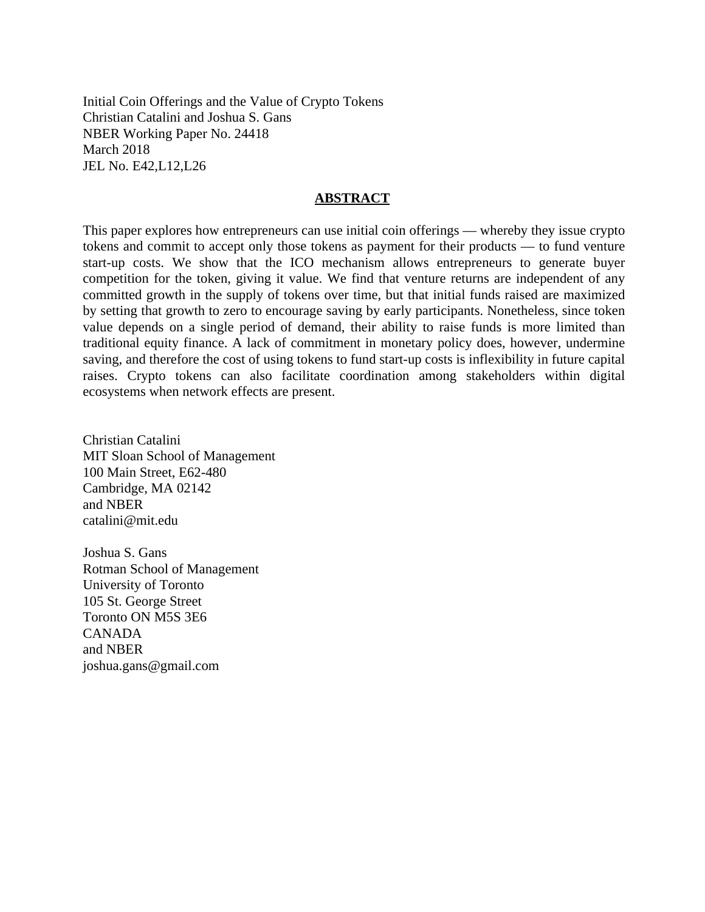Initial Coin Offerings and the Value of Crypto Tokens Christian Catalini and Joshua S. Gans NBER Working Paper No. 24418 March 2018 JEL No. E42,L12,L26

#### **ABSTRACT**

This paper explores how entrepreneurs can use initial coin offerings — whereby they issue crypto tokens and commit to accept only those tokens as payment for their products — to fund venture start-up costs. We show that the ICO mechanism allows entrepreneurs to generate buyer competition for the token, giving it value. We find that venture returns are independent of any committed growth in the supply of tokens over time, but that initial funds raised are maximized by setting that growth to zero to encourage saving by early participants. Nonetheless, since token value depends on a single period of demand, their ability to raise funds is more limited than traditional equity finance. A lack of commitment in monetary policy does, however, undermine saving, and therefore the cost of using tokens to fund start-up costs is inflexibility in future capital raises. Crypto tokens can also facilitate coordination among stakeholders within digital ecosystems when network effects are present.

Christian Catalini MIT Sloan School of Management 100 Main Street, E62-480 Cambridge, MA 02142 and NBER catalini@mit.edu

Joshua S. Gans Rotman School of Management University of Toronto 105 St. George Street Toronto ON M5S 3E6 CANADA and NBER joshua.gans@gmail.com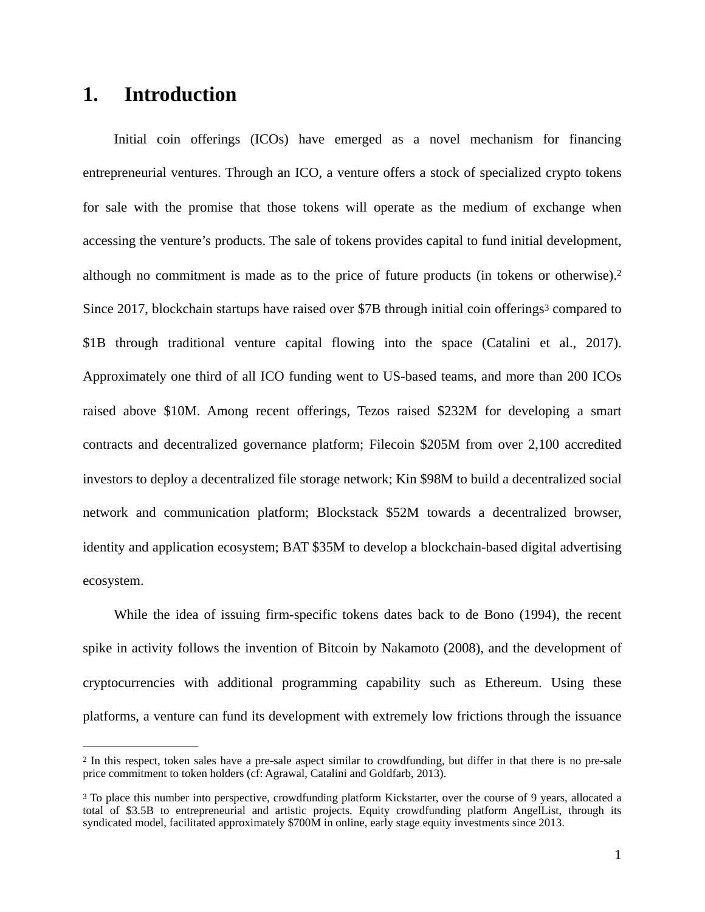## **1. Introduction**

<span id="page-2-3"></span><span id="page-2-2"></span>Initial coin offerings (ICOs) have emerged as a novel mechanism for financing entrepreneurial ventures. Through an ICO, a venture offers a stock of specialized crypto tokens for sale with the promise that those tokens will operate as the medium of exchange when accessing the venture's products. The sale of tokens provides capital to fund initial development, although no commitment is made as to the price of future products (in tokens or otherwise)[.2](#page-2-0) Since 2017, blockchain startups have raised over \$7B through initial coin offerings<sup>3</sup> compared to \$1B through traditional venture capital flowing into the space (Catalini et al., 2017). Approximately one third of all ICO funding went to US-based teams, and more than 200 ICOs raised above \$10M. Among recent offerings, Tezos raised \$232M for developing a smart contracts and decentralized governance platform; Filecoin \$205M from over 2,100 accredited investors to deploy a decentralized file storage network; Kin \$98M to build a decentralized social network and communication platform; Blockstack \$52M towards a decentralized browser, identity and application ecosystem; BAT \$35M to develop a blockchain-based digital advertising ecosystem.

While the idea of issuing firm-specific tokens dates back to de Bono (1994), the recent spike in activity follows the invention of Bitcoin by Nakamoto (2008), and the development of cryptocurrencies with additional programming capability such as Ethereum. Using these platforms, a venture can fund its development with extremely low frictions through the issuance

<span id="page-2-0"></span><sup>&</sup>lt;sup>[2](#page-2-2)</sup> In this respect, token sales have a pre-sale aspect similar to crowdfunding, but differ in that there is no pre-sale price commitment to token holders (cf: Agrawal, Catalini and Goldfarb, 2013).

<span id="page-2-1"></span><sup>&</sup>lt;sup>[3](#page-2-3)</sup> To place this number into perspective, crowdfunding platform Kickstarter, over the course of 9 years, allocated a total of \$3.5B to entrepreneurial and artistic projects. Equity crowdfunding platform AngelList, through its syndicated model, facilitated approximately \$700M in online, early stage equity investments since 2013.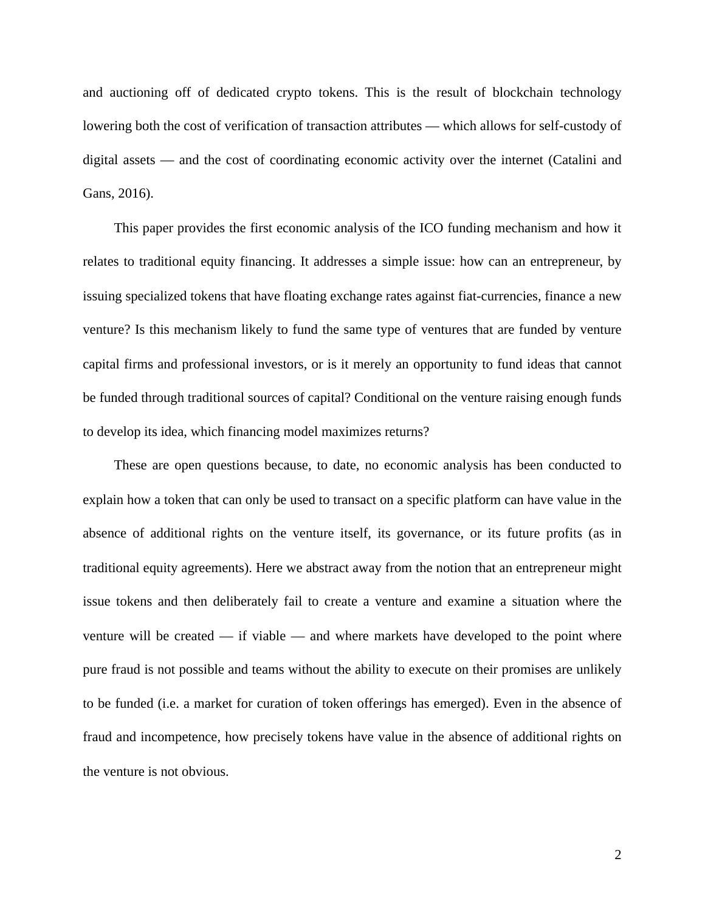and auctioning off of dedicated crypto tokens. This is the result of blockchain technology lowering both the cost of verification of transaction attributes — which allows for self-custody of digital assets — and the cost of coordinating economic activity over the internet (Catalini and Gans, 2016).

This paper provides the first economic analysis of the ICO funding mechanism and how it relates to traditional equity financing. It addresses a simple issue: how can an entrepreneur, by issuing specialized tokens that have floating exchange rates against fiat-currencies, finance a new venture? Is this mechanism likely to fund the same type of ventures that are funded by venture capital firms and professional investors, or is it merely an opportunity to fund ideas that cannot be funded through traditional sources of capital? Conditional on the venture raising enough funds to develop its idea, which financing model maximizes returns?

These are open questions because, to date, no economic analysis has been conducted to explain how a token that can only be used to transact on a specific platform can have value in the absence of additional rights on the venture itself, its governance, or its future profits (as in traditional equity agreements). Here we abstract away from the notion that an entrepreneur might issue tokens and then deliberately fail to create a venture and examine a situation where the venture will be created  $-$  if viable  $-$  and where markets have developed to the point where pure fraud is not possible and teams without the ability to execute on their promises are unlikely to be funded (i.e. a market for curation of token offerings has emerged). Even in the absence of fraud and incompetence, how precisely tokens have value in the absence of additional rights on the venture is not obvious.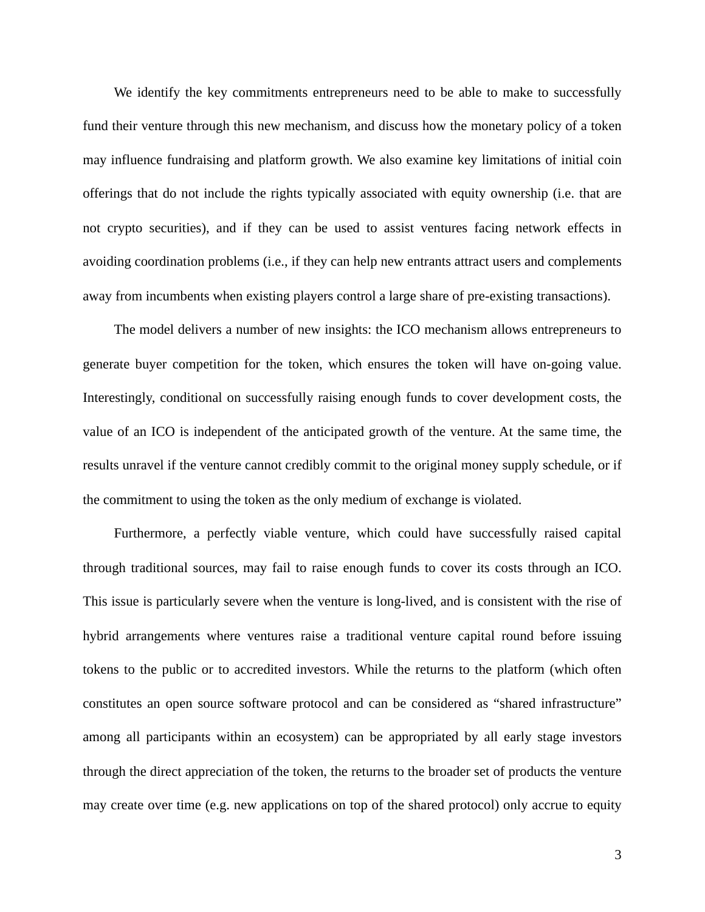We identify the key commitments entrepreneurs need to be able to make to successfully fund their venture through this new mechanism, and discuss how the monetary policy of a token may influence fundraising and platform growth. We also examine key limitations of initial coin offerings that do not include the rights typically associated with equity ownership (i.e. that are not crypto securities), and if they can be used to assist ventures facing network effects in avoiding coordination problems (i.e., if they can help new entrants attract users and complements away from incumbents when existing players control a large share of pre-existing transactions).

The model delivers a number of new insights: the ICO mechanism allows entrepreneurs to generate buyer competition for the token, which ensures the token will have on-going value. Interestingly, conditional on successfully raising enough funds to cover development costs, the value of an ICO is independent of the anticipated growth of the venture. At the same time, the results unravel if the venture cannot credibly commit to the original money supply schedule, or if the commitment to using the token as the only medium of exchange is violated.

Furthermore, a perfectly viable venture, which could have successfully raised capital through traditional sources, may fail to raise enough funds to cover its costs through an ICO. This issue is particularly severe when the venture is long-lived, and is consistent with the rise of hybrid arrangements where ventures raise a traditional venture capital round before issuing tokens to the public or to accredited investors. While the returns to the platform (which often constitutes an open source software protocol and can be considered as "shared infrastructure" among all participants within an ecosystem) can be appropriated by all early stage investors through the direct appreciation of the token, the returns to the broader set of products the venture may create over time (e.g. new applications on top of the shared protocol) only accrue to equity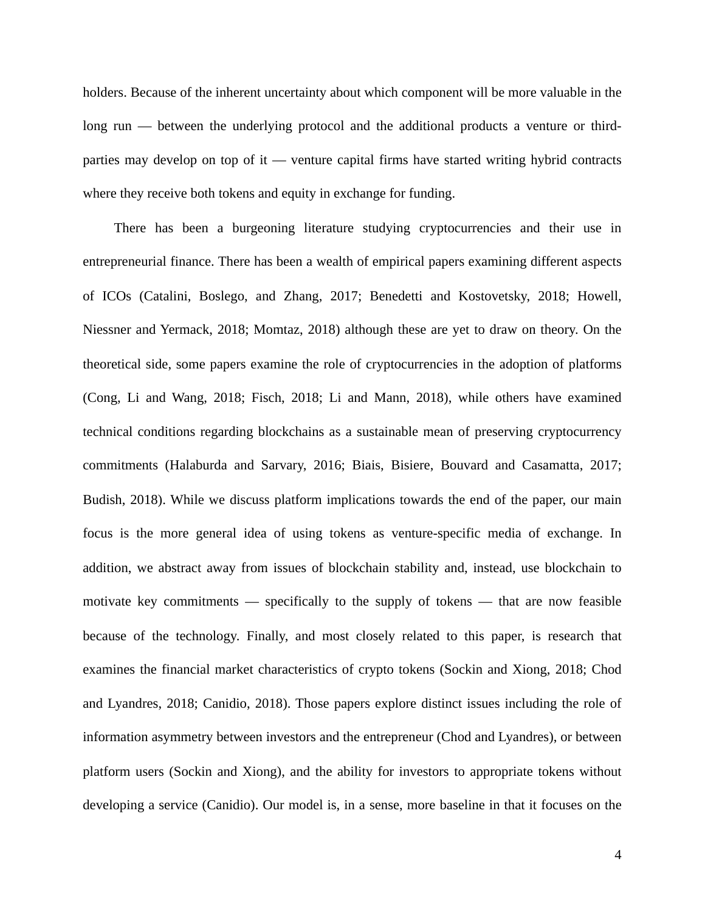holders. Because of the inherent uncertainty about which component will be more valuable in the long run — between the underlying protocol and the additional products a venture or thirdparties may develop on top of it — venture capital firms have started writing hybrid contracts where they receive both tokens and equity in exchange for funding.

There has been a burgeoning literature studying cryptocurrencies and their use in entrepreneurial finance. There has been a wealth of empirical papers examining different aspects of ICOs (Catalini, Boslego, and Zhang, 2017; Benedetti and Kostovetsky, 2018; Howell, Niessner and Yermack, 2018; Momtaz, 2018) although these are yet to draw on theory. On the theoretical side, some papers examine the role of cryptocurrencies in the adoption of platforms (Cong, Li and Wang, 2018; Fisch, 2018; Li and Mann, 2018), while others have examined technical conditions regarding blockchains as a sustainable mean of preserving cryptocurrency commitments (Halaburda and Sarvary, 2016; Biais, Bisiere, Bouvard and Casamatta, 2017; Budish, 2018). While we discuss platform implications towards the end of the paper, our main focus is the more general idea of using tokens as venture-specific media of exchange. In addition, we abstract away from issues of blockchain stability and, instead, use blockchain to motivate key commitments — specifically to the supply of tokens — that are now feasible because of the technology. Finally, and most closely related to this paper, is research that examines the financial market characteristics of crypto tokens (Sockin and Xiong, 2018; Chod and Lyandres, 2018; Canidio, 2018). Those papers explore distinct issues including the role of information asymmetry between investors and the entrepreneur (Chod and Lyandres), or between platform users (Sockin and Xiong), and the ability for investors to appropriate tokens without developing a service (Canidio). Our model is, in a sense, more baseline in that it focuses on the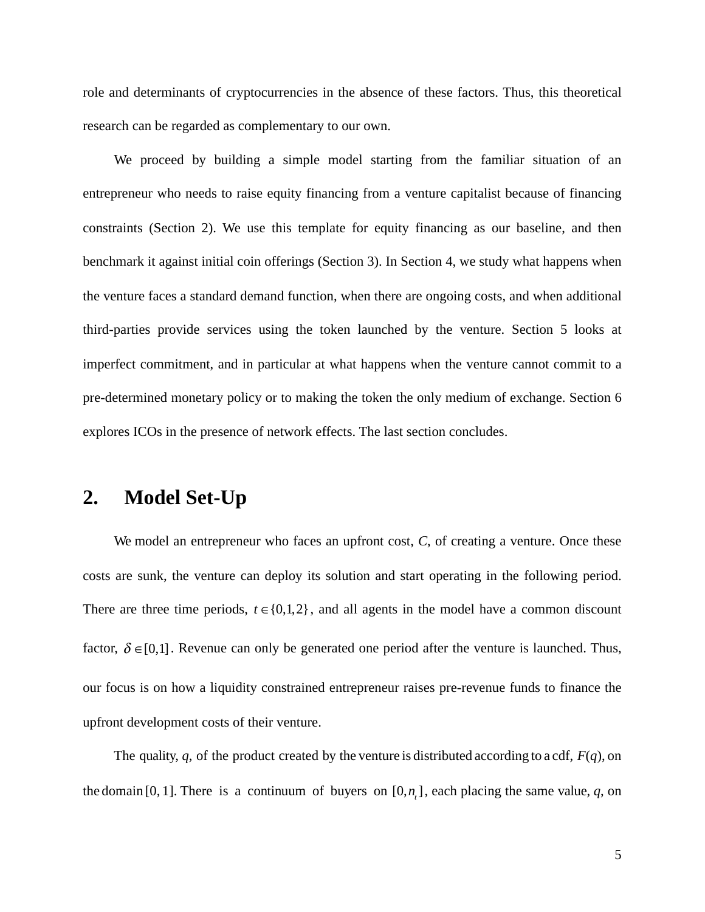role and determinants of cryptocurrencies in the absence of these factors. Thus, this theoretical research can be regarded as complementary to our own.

We proceed by building a simple model starting from the familiar situation of an entrepreneur who needs to raise equity financing from a venture capitalist because of financing constraints (Section 2). We use this template for equity financing as our baseline, and then benchmark it against initial coin offerings (Section 3). In Section 4, we study what happens when the venture faces a standard demand function, when there are ongoing costs, and when additional third-parties provide services using the token launched by the venture. Section 5 looks at imperfect commitment, and in particular at what happens when the venture cannot commit to a pre-determined monetary policy or to making the token the only medium of exchange. Section 6 explores ICOs in the presence of network effects. The last section concludes.

# **2. Model Set-Up**

We model an entrepreneur who faces an upfront cost, C, of creating a venture. Once these costs are sunk, the venture can deploy its solution and start operating in the following period. There are three time periods,  $t \in \{0,1,2\}$ , and all agents in the model have a common discount factor,  $\delta \in [0,1]$ . Revenue can only be generated one period after the venture is launched. Thus, our focus is on how a liquidity constrained entrepreneur raises pre-revenue funds to finance the upfront development costs of their venture.

The quality, *q*, of the product created by the venture is distributed according to a cdf, *F*(*q*), on the domain [0, 1]. There is a continuum of buyers on  $[0, n_t]$ , each placing the same value, *q*, on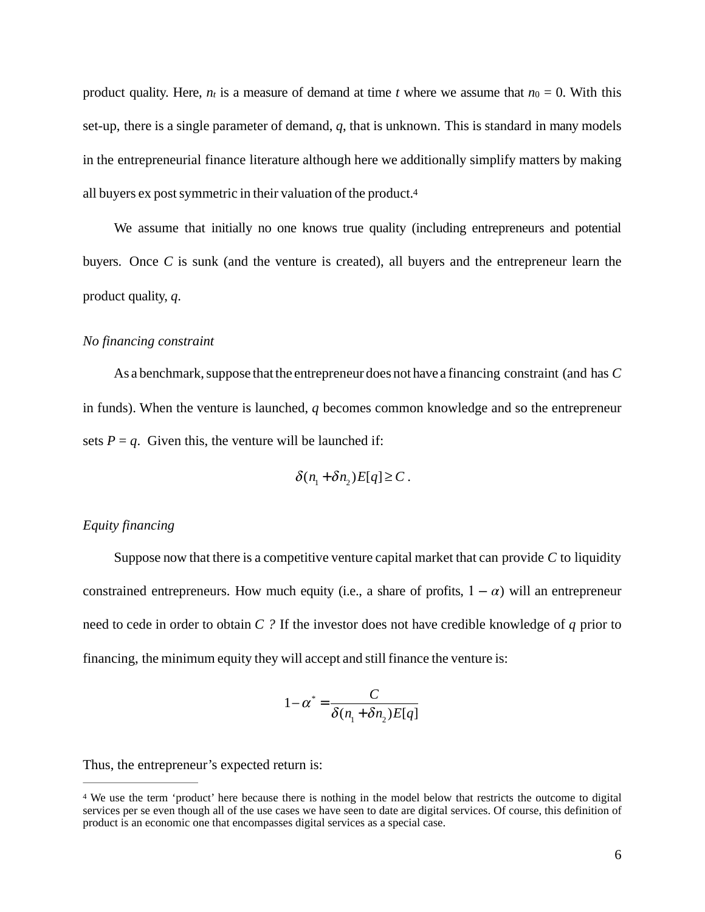product quality. Here,  $n_t$  is a measure of demand at time *t* where we assume that  $n_0 = 0$ . With this set-up, there is a single parameter of demand, *q*, that is unknown. This is standard in many models in the entrepreneurial finance literature although here we additionally simplify matters by making all buyers ex post symmetric in their valuation of the product.<sup>4</sup>

We assume that initially no one knows true quality (including entrepreneurs and potential buyers. Once *C* is sunk (and the venture is created), all buyers and the entrepreneur learn the product quality, *q*.

#### *No financing constraint*

As a benchmark, suppose that the entrepreneur does not have a financing constraint (and has C in funds). When the venture is launched, *q* becomes common knowledge and so the entrepreneur sets  $P = q$ . Given this, the venture will be launched if:

<span id="page-7-1"></span>
$$
\delta(n_1 + \delta n_2) E[q] \geq C.
$$

#### *Equity financing*

Suppose now that there is a competitive venture capital market that can provide *C* to liquidity constrained entrepreneurs. How much equity (i.e., a share of profits,  $1 - \alpha$ ) will an entrepreneur need to cede in order to obtain *C ?* If the investor does not have credible knowledge of *q* prior to financing, the minimum equity they will accept and still finance the venture is:

$$
1 - \alpha^* = \frac{C}{\delta(n_1 + \delta n_2)E[q]}
$$

Thus, the entrepreneur's expected return is:

<span id="page-7-0"></span>We use the term 'product' here because there is nothing in the model below that restricts the outcome to digital [4](#page-7-1) services per se even though all of the use cases we have seen to date are digital services. Of course, this definition of product is an economic one that encompasses digital services as a special case.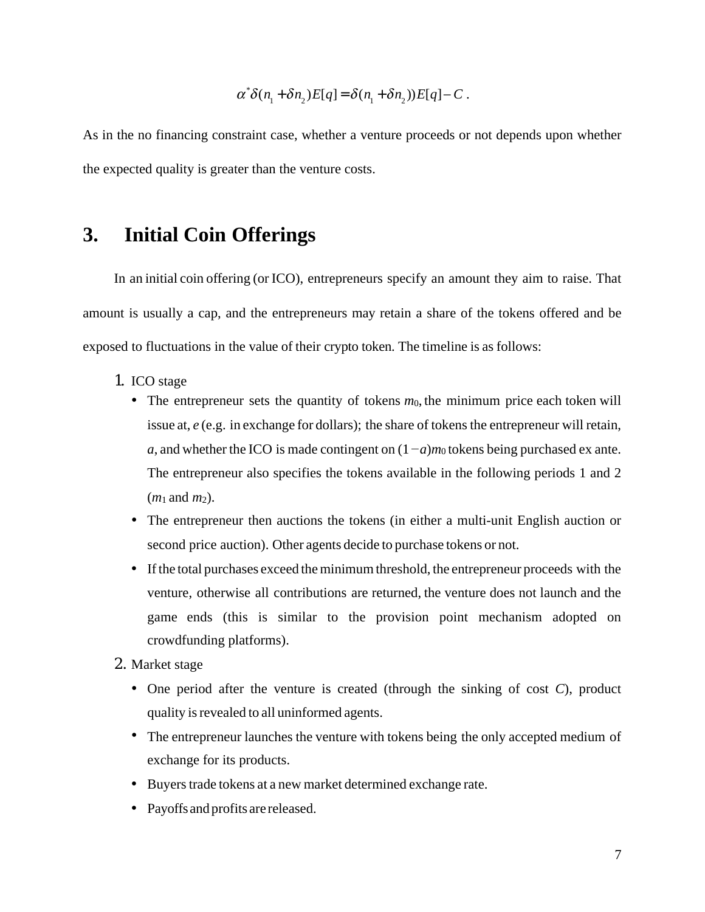$$
\alpha^* \delta(n_1 + \delta n_2) E[q] = \delta(n_1 + \delta n_2) E[q] - C.
$$

As in the no financing constraint case, whether a venture proceeds or not depends upon whether the expected quality is greater than the venture costs.

# **3. Initial Coin Offerings**

In an initial coin offering (or ICO), entrepreneurs specify an amount they aim to raise. That amount is usually a cap, and the entrepreneurs may retain a share of the tokens offered and be exposed to fluctuations in the value of their crypto token. The timeline is as follows:

- 1. ICO stage
	- The entrepreneur sets the quantity of tokens  $m_0$ , the minimum price each token will issue at, *e* (e.g. in exchange for dollars); the share of tokens the entrepreneur will retain, *a*, and whether the ICO is made contingent on  $(1 - a)m_0$  tokens being purchased ex ante. The entrepreneur also specifies the tokens available in the following periods 1 and 2  $(m_1 \text{ and } m_2)$ .
	- The entrepreneur then auctions the tokens (in either a multi-unit English auction or second price auction). Other agents decide to purchase tokens or not.
	- If the total purchases exceed the minimum threshold, the entrepreneur proceeds with the venture, otherwise all contributions are returned, the venture does not launch and the game ends (this is similar to the provision point mechanism adopted on crowdfunding platforms).
- 2. Market stage
	- One period after the venture is created (through the sinking of cost *C*), product quality is revealed to all uninformed agents.
	- The entrepreneur launches the venture with tokens being the only accepted medium of exchange for its products.
	- Buyers trade tokens at a new market determined exchange rate.
	- Payoffs and profits are released.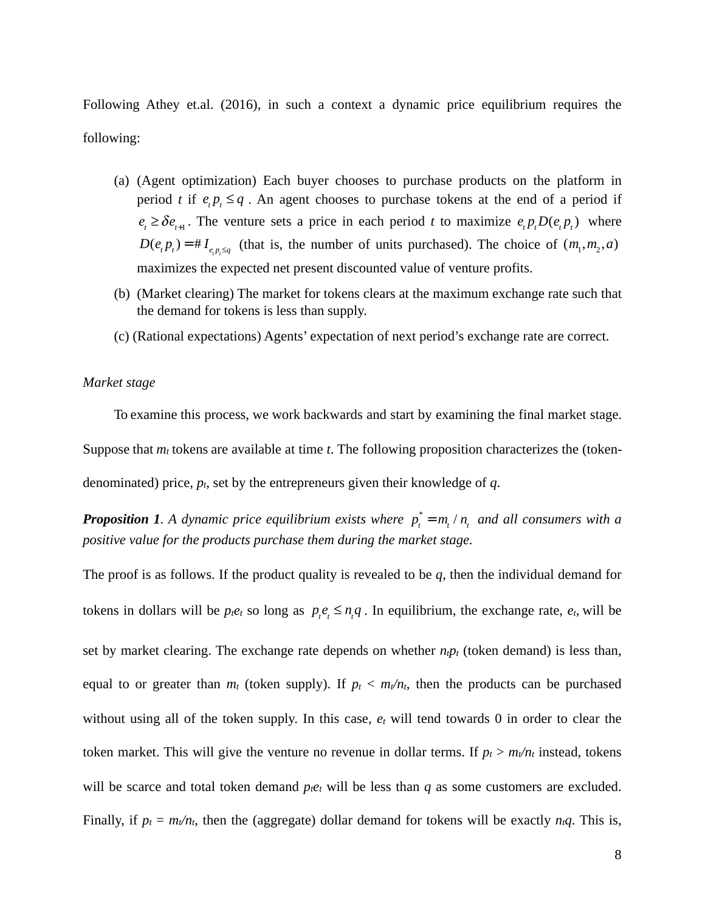Following Athey et.al. (2016), in such a context a dynamic price equilibrium requires the following:

- (a) (Agent optimization) Each buyer chooses to purchase products on the platform in period *t* if  $e_i p_i \leq q$ . An agent chooses to purchase tokens at the end of a period if  $e_t \geq \delta e_{t+1}$ . The venture sets a price in each period *t* to maximize  $e_t p_t D(e_t p_t)$  where  $D(e_i p_i) = #I_{e_i p_i \leq q}$  (that is, the number of units purchased). The choice of  $(m_1, m_2, a)$ maximizes the expected net present discounted value of venture profits.
- (b) (Market clearing) The market for tokens clears at the maximum exchange rate such that the demand for tokens is less than supply.
- (c) (Rational expectations) Agents' expectation of next period's exchange rate are correct.

#### *Market stage*

To examine this process, we work backwards and start by examining the final market stage. Suppose that  $m_t$  tokens are available at time  $t$ . The following proposition characterizes the (tokendenominated) price, *pt*, set by the entrepreneurs given their knowledge of *q*.

*Proposition 1.* A dynamic price equilibrium exists where  $p_t^* = m_t / n_t$  and all consumers with a *positive value for the products purchase them during the market stage.* 

The proof is as follows. If the product quality is revealed to be *q*, then the individual demand for tokens in dollars will be  $p_t e_t$  so long as  $p_t e_t \leq n_t q$ . In equilibrium, the exchange rate,  $e_t$ , will be set by market clearing. The exchange rate depends on whether  $n_i p_i$  (token demand) is less than, equal to or greater than  $m_t$  (token supply). If  $p_t < m_t/n_t$ , then the products can be purchased without using all of the token supply. In this case, *et* will tend towards 0 in order to clear the token market. This will give the venture no revenue in dollar terms. If  $p_t > m_t/n_t$  instead, tokens will be scarce and total token demand  $p_{i}e_{t}$  will be less than *q* as some customers are excluded. Finally, if  $p_t = m_t/n_t$ , then the (aggregate) dollar demand for tokens will be exactly  $n_t q$ . This is,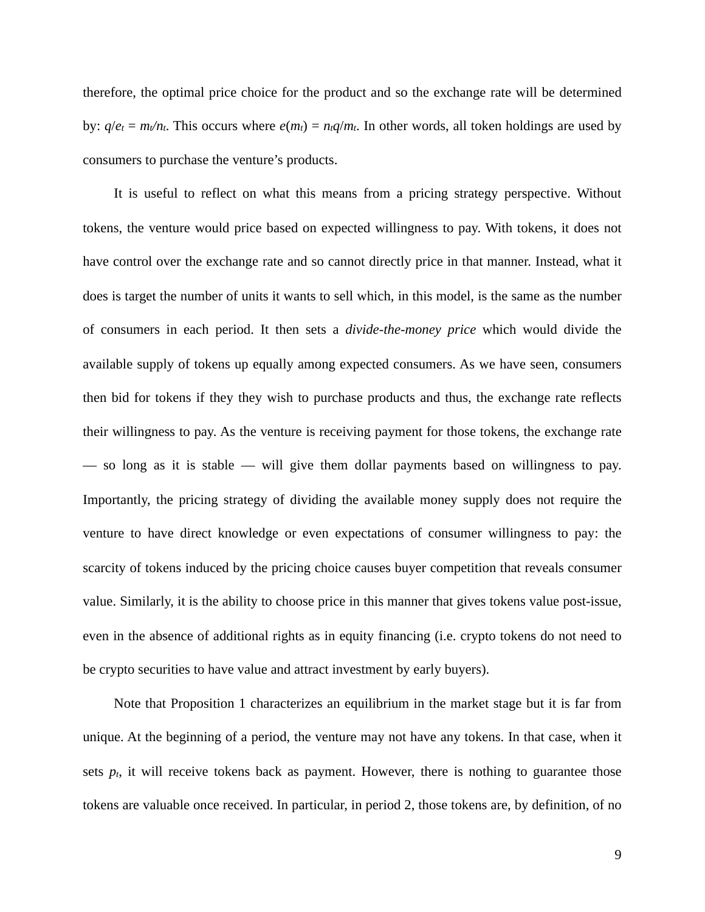therefore, the optimal price choice for the product and so the exchange rate will be determined by:  $q/e_t = m_t/n_t$ . This occurs where  $e(m_t) = n_t q/m_t$ . In other words, all token holdings are used by consumers to purchase the venture's products.

It is useful to reflect on what this means from a pricing strategy perspective. Without tokens, the venture would price based on expected willingness to pay. With tokens, it does not have control over the exchange rate and so cannot directly price in that manner. Instead, what it does is target the number of units it wants to sell which, in this model, is the same as the number of consumers in each period. It then sets a *divide-the-money price* which would divide the available supply of tokens up equally among expected consumers. As we have seen, consumers then bid for tokens if they they wish to purchase products and thus, the exchange rate reflects their willingness to pay. As the venture is receiving payment for those tokens, the exchange rate — so long as it is stable — will give them dollar payments based on willingness to pay. Importantly, the pricing strategy of dividing the available money supply does not require the venture to have direct knowledge or even expectations of consumer willingness to pay: the scarcity of tokens induced by the pricing choice causes buyer competition that reveals consumer value. Similarly, it is the ability to choose price in this manner that gives tokens value post-issue, even in the absence of additional rights as in equity financing (i.e. crypto tokens do not need to be crypto securities to have value and attract investment by early buyers).

Note that Proposition 1 characterizes an equilibrium in the market stage but it is far from unique. At the beginning of a period, the venture may not have any tokens. In that case, when it sets  $p_t$ , it will receive tokens back as payment. However, there is nothing to guarantee those tokens are valuable once received. In particular, in period 2, those tokens are, by definition, of no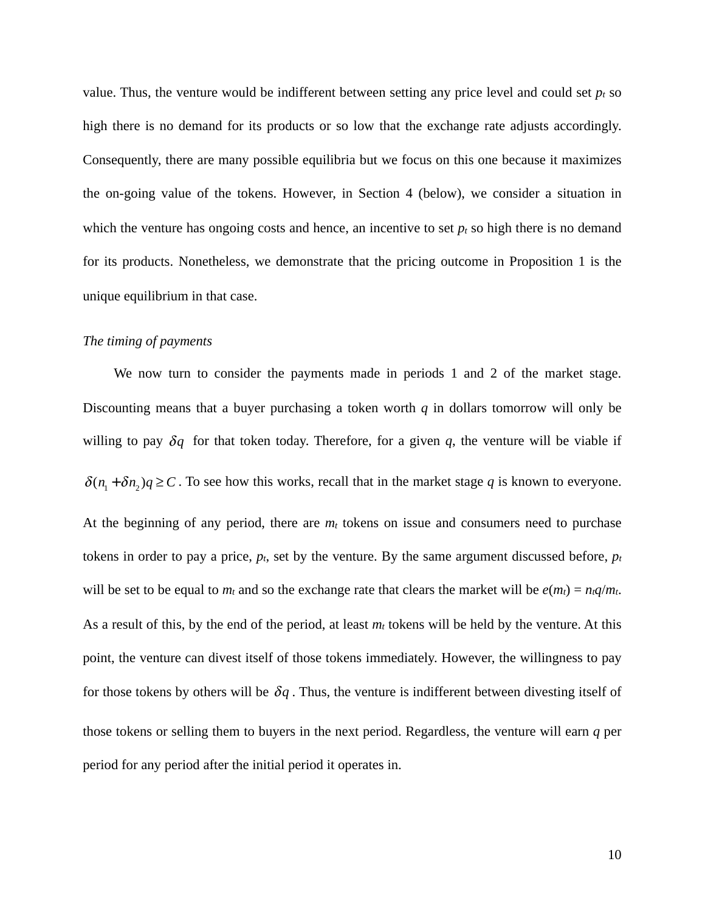value. Thus, the venture would be indifferent between setting any price level and could set  $p_t$  so high there is no demand for its products or so low that the exchange rate adjusts accordingly. Consequently, there are many possible equilibria but we focus on this one because it maximizes the on-going value of the tokens. However, in Section 4 (below), we consider a situation in which the venture has ongoing costs and hence, an incentive to set  $p_t$  so high there is no demand for its products. Nonetheless, we demonstrate that the pricing outcome in Proposition 1 is the unique equilibrium in that case.

#### *The timing of payments*

We now turn to consider the payments made in periods 1 and 2 of the market stage. Discounting means that a buyer purchasing a token worth *q* in dollars tomorrow will only be willing to pay  $\delta q$  for that token today. Therefore, for a given q, the venture will be viable if  $\delta(n_1 + \delta n_2)q \ge C$ . To see how this works, recall that in the market stage *q* is known to everyone. At the beginning of any period, there are  $m_t$  tokens on issue and consumers need to purchase tokens in order to pay a price,  $p_t$ , set by the venture. By the same argument discussed before,  $p_t$ will be set to be equal to  $m_t$  and so the exchange rate that clears the market will be  $e(m_t) = n_t q/m_t$ . As a result of this, by the end of the period, at least  $m_t$  tokens will be held by the venture. At this point, the venture can divest itself of those tokens immediately. However, the willingness to pay for those tokens by others will be  $\delta q$ . Thus, the venture is indifferent between divesting itself of those tokens or selling them to buyers in the next period. Regardless, the venture will earn *q* per period for any period after the initial period it operates in.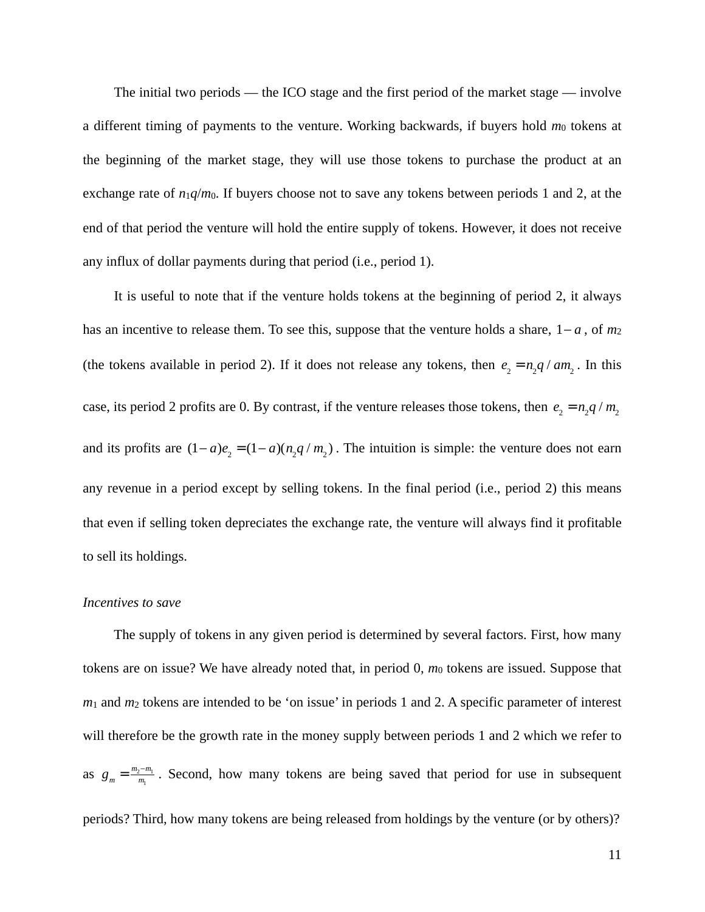The initial two periods — the ICO stage and the first period of the market stage — involve a different timing of payments to the venture. Working backwards, if buyers hold  $m_0$  tokens at the beginning of the market stage, they will use those tokens to purchase the product at an exchange rate of  $n_1q/m_0$ . If buyers choose not to save any tokens between periods 1 and 2, at the end of that period the venture will hold the entire supply of tokens. However, it does not receive any influx of dollar payments during that period (i.e., period 1).

It is useful to note that if the venture holds tokens at the beginning of period 2, it always has an incentive to release them. To see this, suppose that the venture holds a share,  $1 - a$ , of  $m_2$ (the tokens available in period 2). If it does not release any tokens, then  $e_2 = n_2 q / am_2$ . In this case, its period 2 profits are 0. By contrast, if the venture releases those tokens, then  $e_2 = n_2 q / m_2$ and its profits are  $(1 - a)e_2 = (1 - a)(n_2 q / m_2)$ . The intuition is simple: the venture does not earn any revenue in a period except by selling tokens. In the final period (i.e., period 2) this means that even if selling token depreciates the exchange rate, the venture will always find it profitable to sell its holdings.

#### *Incentives to save*

The supply of tokens in any given period is determined by several factors. First, how many tokens are on issue? We have already noted that, in period  $0, m_0$  tokens are issued. Suppose that *m*1 and *m*2 tokens are intended to be 'on issue' in periods 1 and 2. A specific parameter of interest will therefore be the growth rate in the money supply between periods 1 and 2 which we refer to as  $g_m = \frac{m_2 - m_1}{m_1}$ . Second, how many tokens are being saved that period for use in subsequent periods? Third, how many tokens are being released from holdings by the venture (or by others)?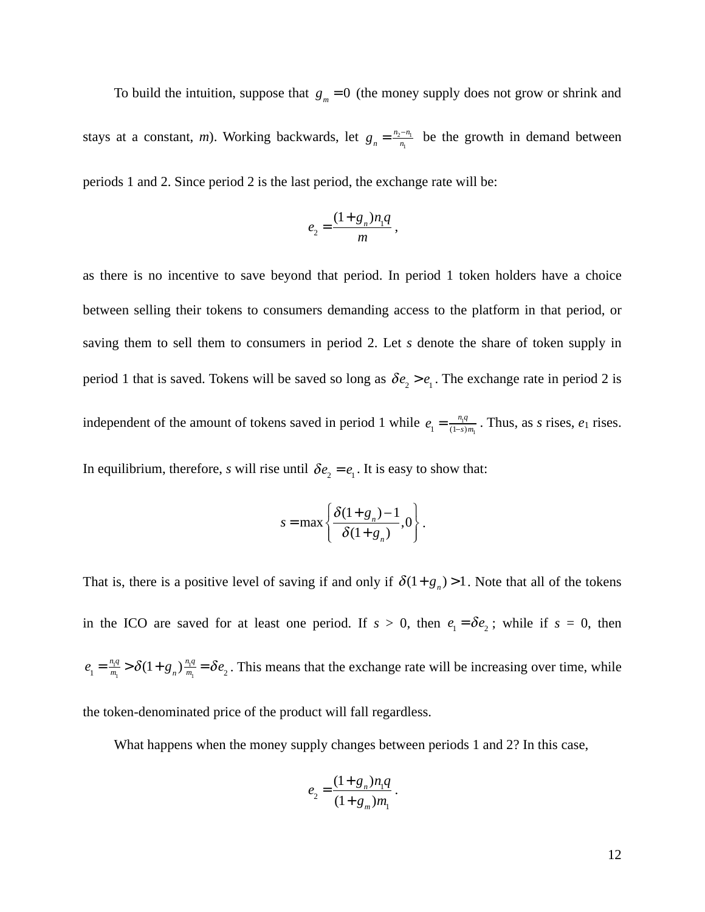To build the intuition, suppose that  $g_m = 0$  (the money supply does not grow or shrink and stays at a constant, *m*). Working backwards, let  $g_n = \frac{n_2 - n_1}{n_1}$  be the growth in demand between periods 1 and 2. Since period 2 is the last period, the exchange rate will be:

$$
e_{2}=\frac{(1+g_{n})n_{1}q}{m}\,,
$$

as there is no incentive to save beyond that period. In period 1 token holders have a choice between selling their tokens to consumers demanding access to the platform in that period, or saving them to sell them to consumers in period 2. Let *s* denote the share of token supply in period 1 that is saved. Tokens will be saved so long as  $\delta e_2 > e_1$ . The exchange rate in period 2 is independent of the amount of tokens saved in period 1 while  $e_1 = \frac{n_i q}{(1-s)m_i}$ . Thus, as *s* rises,  $e_1$  rises. (1−*s*)*m*<sup>1</sup>

In equilibrium, therefore, *s* will rise until  $\delta e_2 = e_1$ . It is easy to show that:

$$
s = \max \left\{ \frac{\delta(1+g_n)-1}{\delta(1+g_n)}, 0 \right\}.
$$

That is, there is a positive level of saving if and only if  $\delta(1 + g_n) > 1$ . Note that all of the tokens in the ICO are saved for at least one period. If  $s > 0$ , then  $e_1 = \delta e_2$ ; while if  $s = 0$ , then  $e_1 = \frac{n_1 q}{m_1} > \delta(1 + g_n) \frac{n_1 q}{m_1} = \delta e_2$ . This means that the exchange rate will be increasing over time, while  $\frac{m_1q}{m_1} > \delta(1+g_n)\frac{n_1q}{m_1}$  $\frac{n_1q}{m_1} = \delta e_2$ 

the token-denominated price of the product will fall regardless.

What happens when the money supply changes between periods 1 and 2? In this case,

$$
e_{2} = \frac{(1 + g_{n})n_{1}q}{(1 + g_{m})m_{1}}.
$$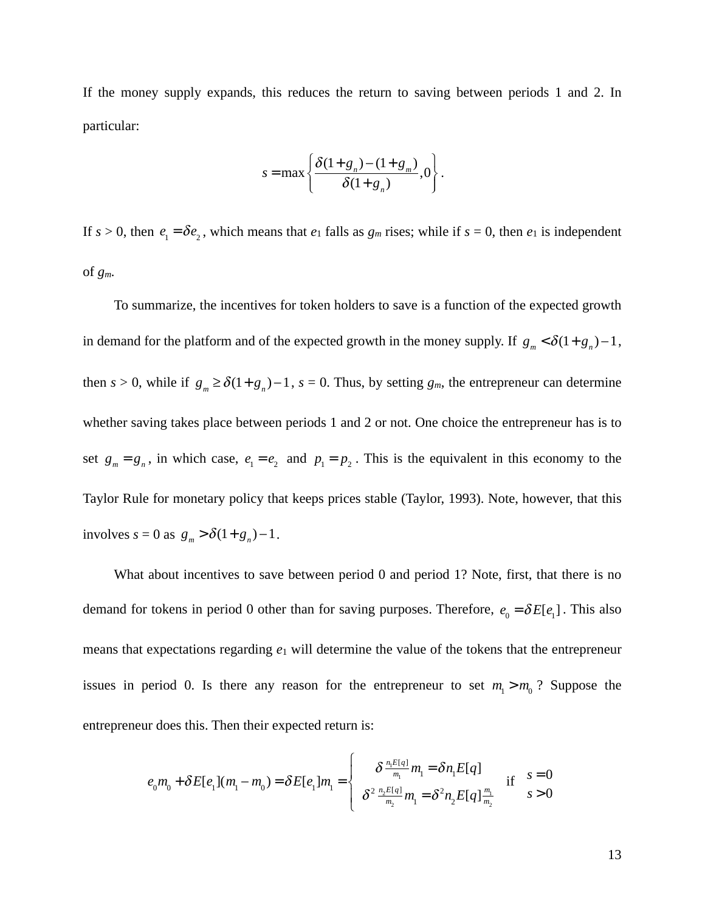If the money supply expands, this reduces the return to saving between periods 1 and 2. In particular:

$$
s = \max\left\{\frac{\delta(1+g_n) - (1+g_m)}{\delta(1+g_n)}, 0\right\}.
$$

If  $s > 0$ , then  $e_1 = \delta e_2$ , which means that  $e_1$  falls as  $g_m$  rises; while if  $s = 0$ , then  $e_1$  is independent of *gm.* 

To summarize, the incentives for token holders to save is a function of the expected growth in demand for the platform and of the expected growth in the money supply. If  $g_m < \delta(1 + g_n) - 1$ , then  $s > 0$ , while if  $g_m \ge \delta(1 + g_n) - 1$ ,  $s = 0$ . Thus, by setting  $g_m$ , the entrepreneur can determine whether saving takes place between periods 1 and 2 or not. One choice the entrepreneur has is to set  $g_m = g_n$ , in which case,  $e_1 = e_2$  and  $p_1 = p_2$ . This is the equivalent in this economy to the Taylor Rule for monetary policy that keeps prices stable (Taylor, 1993). Note, however, that this involves  $s = 0$  as  $g_m > \delta(1 + g_n) - 1$ .

What about incentives to save between period 0 and period 1? Note, first, that there is no demand for tokens in period 0 other than for saving purposes. Therefore,  $e_0 = \delta E[e_1]$ . This also means that expectations regarding *e*1 will determine the value of the tokens that the entrepreneur issues in period 0. Is there any reason for the entrepreneur to set  $m_1 > m_0$ ? Suppose the entrepreneur does this. Then their expected return is:

$$
e_0 m_0 + \delta E[e_1](m_1 - m_0) = \delta E[e_1] m_1 = \begin{cases} \delta \frac{n_1 E[q]}{m_1} m_1 = \delta n_1 E[q] \\ \delta^2 \frac{n_2 E[q]}{m_2} m_1 = \delta^2 n_2 E[q] \frac{m_1}{m_2} & \text{if } s > 0 \end{cases}
$$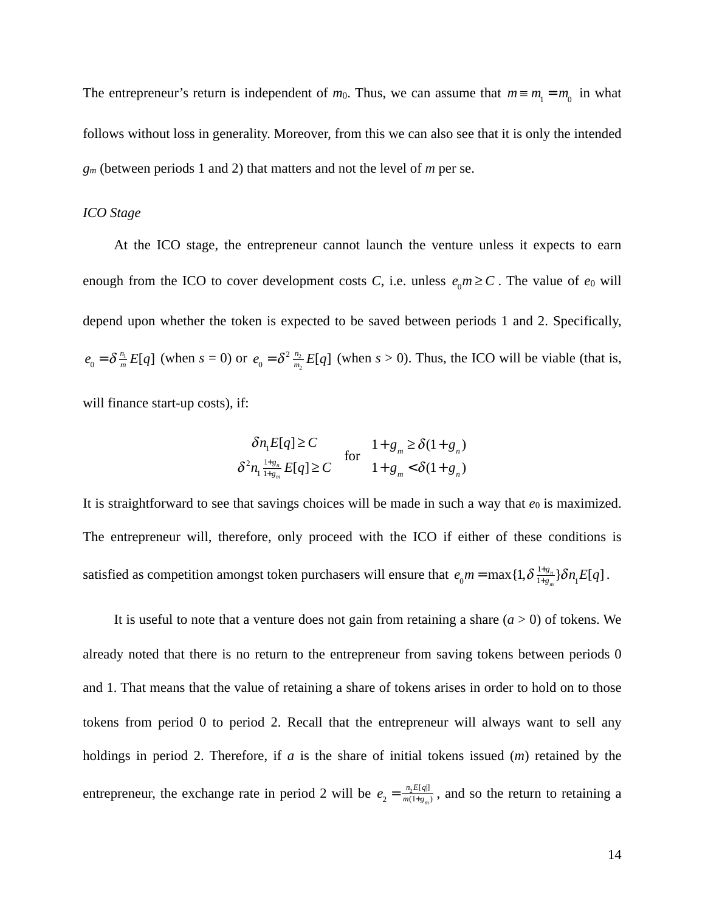The entrepreneur's return is independent of  $m_0$ . Thus, we can assume that  $m \equiv m_1 = m_0$  in what follows without loss in generality. Moreover, from this we can also see that it is only the intended *gm* (between periods 1 and 2) that matters and not the level of *m* per se.

#### *ICO Stage*

At the ICO stage, the entrepreneur cannot launch the venture unless it expects to earn enough from the ICO to cover development costs *C*, i.e. unless  $e_0 m \ge C$ . The value of  $e_0$  will depend upon whether the token is expected to be saved between periods 1 and 2. Specifically,  $e_0 = \delta \frac{n_1}{m} E[q]$  (when  $s = 0$ ) or  $e_0 = \delta^2 \frac{n_2}{m_2} E[q]$  (when  $s > 0$ ). Thus, the ICO will be viable (that is,

will finance start-up costs), if:

$$
\delta n_1 E[q] \ge C \qquad 1 + g_m \ge \delta (1 + g_n)
$$
  

$$
\delta^2 n_1 \frac{1 + g_m}{1 + g_m} E[q] \ge C \qquad 1 + g_m < \delta (1 + g_n)
$$

It is straightforward to see that savings choices will be made in such a way that  $e_0$  is maximized. The entrepreneur will, therefore, only proceed with the ICO if either of these conditions is satisfied as competition amongst token purchasers will ensure that  $e_0m = \max\{1, \delta \frac{1+g_n}{1+g_m}\}\delta n_1E[q]$ .

It is useful to note that a venture does not gain from retaining a share  $(a > 0)$  of tokens. We already noted that there is no return to the entrepreneur from saving tokens between periods 0 and 1. That means that the value of retaining a share of tokens arises in order to hold on to those tokens from period 0 to period 2. Recall that the entrepreneur will always want to sell any holdings in period 2. Therefore, if *a* is the share of initial tokens issued (*m*) retained by the entrepreneur, the exchange rate in period 2 will be  $e_2 = \frac{n_2 E[q]}{m(1+g_m)}$ , and so the return to retaining a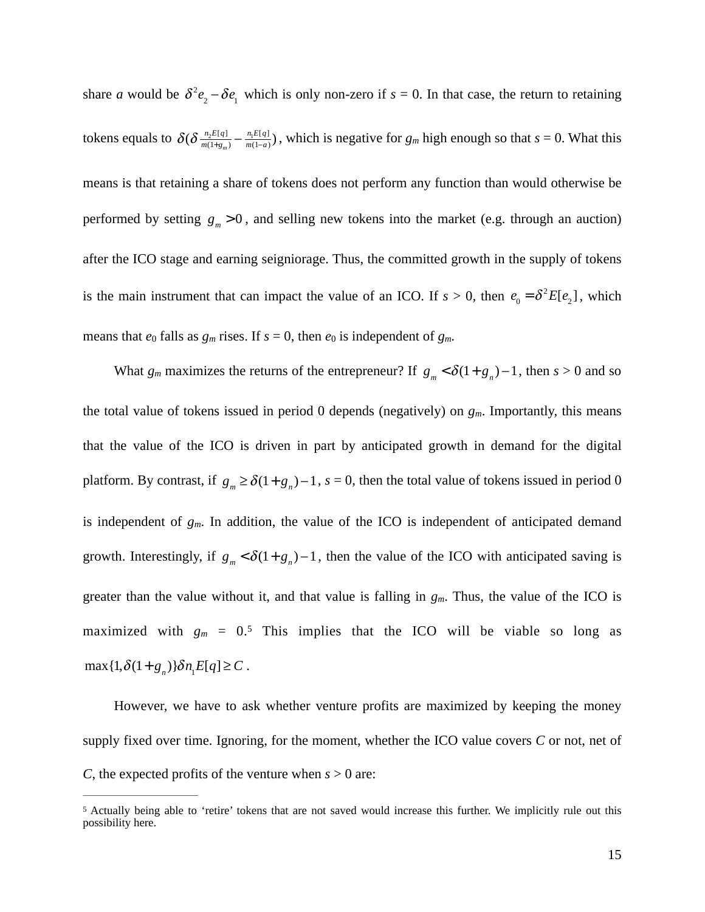share *a* would be  $\delta^2 e_2 - \delta e_1$  which is only non-zero if  $s = 0$ . In that case, the return to retaining tokens equals to  $\delta(\delta \frac{n_2 E[q]}{m(1+g_m)} - \frac{n_1 E[q]}{m(1-a)}$ , which is negative for *gm* high enough so that *s* = 0. What this means is that retaining a share of tokens does not perform any function than would otherwise be performed by setting  $g_m > 0$ , and selling new tokens into the market (e.g. through an auction) after the ICO stage and earning seigniorage. Thus, the committed growth in the supply of tokens is the main instrument that can impact the value of an ICO. If  $s > 0$ , then  $e_0 = \delta^2 E[e_2]$ , which means that  $e_0$  falls as  $g_m$  rises. If  $s = 0$ , then  $e_0$  is independent of  $g_m$ .

What  $g_m$  maximizes the returns of the entrepreneur? If  $g_m < \delta(1 + g_n) - 1$ , then  $s > 0$  and so the total value of tokens issued in period 0 depends (negatively) on *gm*. Importantly, this means that the value of the ICO is driven in part by anticipated growth in demand for the digital platform. By contrast, if  $g_m \ge \delta(1 + g_n) - 1$ ,  $s = 0$ , then the total value of tokens issued in period 0 is independent of *gm*. In addition, the value of the ICO is independent of anticipated demand growth. Interestingly, if  $g_m < \delta(1 + g_n) - 1$ , then the value of the ICO with anticipated saving is greater than the value without it, and that value is falling in  $g_m$ . Thus, the value of the ICO is maximizedwith  $g_m = 0.5$  $g_m = 0.5$  This implies that the ICO will be viable so long as  $\max\{1, \delta(1 + g_n)\}\delta n_1 E[q] \geq C$ .

<span id="page-16-1"></span>However, we have to ask whether venture profits are maximized by keeping the money supply fixed over time. Ignoring, for the moment, whether the ICO value covers *C* or not, net of *C*, the expected profits of the venture when *s* > 0 are:

<span id="page-16-0"></span><sup>&</sup>lt;sup>[5](#page-16-1)</sup> Actually being able to 'retire' tokens that are not saved would increase this further. We implicitly rule out this possibility here.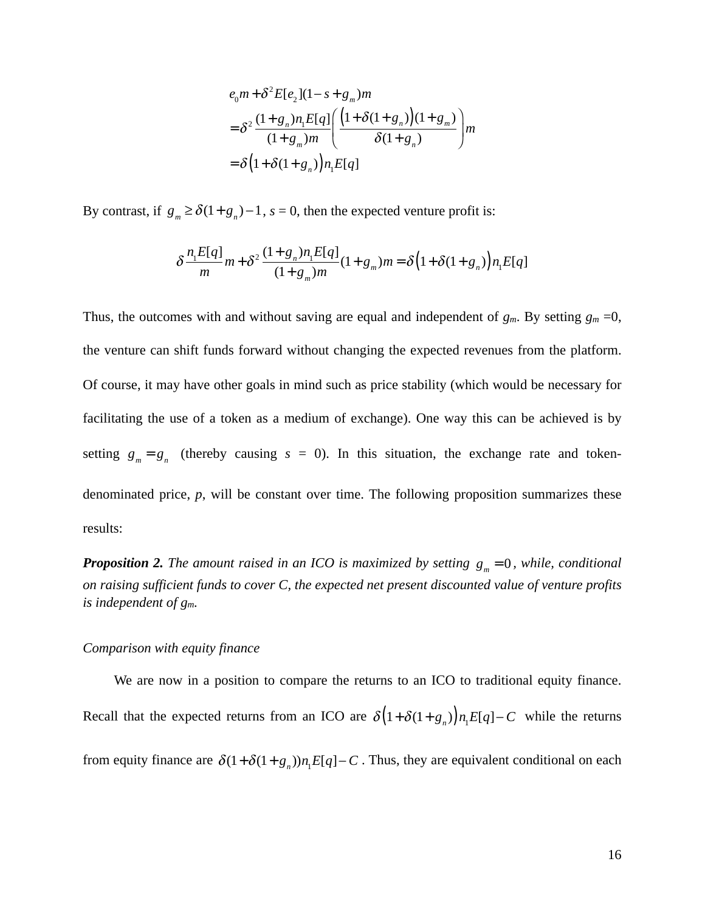$$
e_0 m + \delta^2 E[e_2](1 - s + g_m)m
$$
  
= 
$$
\delta^2 \frac{(1 + g_n)n_1 E[q]}{(1 + g_m)m} \left( \frac{\left(1 + \delta(1 + g_n)\right)(1 + g_m)}{\delta(1 + g_n)}\right) m
$$
  
= 
$$
\delta \left(1 + \delta(1 + g_n)\right) n_1 E[q]
$$

By contrast, if  $g_m \ge \delta(1 + g_n) - 1$ ,  $s = 0$ , then the expected venture profit is:

$$
\delta \frac{n_1 E[q]}{m} m + \delta^2 \frac{(1 + g_n) n_1 E[q]}{(1 + g_m) m} (1 + g_m) m = \delta \left(1 + \delta (1 + g_n)\right) n_1 E[q]
$$

Thus, the outcomes with and without saving are equal and independent of  $g_m$ . By setting  $g_m = 0$ , the venture can shift funds forward without changing the expected revenues from the platform. Of course, it may have other goals in mind such as price stability (which would be necessary for facilitating the use of a token as a medium of exchange). One way this can be achieved is by setting  $g_m = g_n$  (thereby causing  $s = 0$ ). In this situation, the exchange rate and tokendenominated price, *p*, will be constant over time. The following proposition summarizes these results:

**Proposition 2.** The amount raised in an ICO is maximized by setting  $g_m = 0$ , while, conditional *on raising sufficient funds to cover C, the expected net present discounted value of venture profits is independent of gm.*

#### *Comparison with equity finance*

We are now in a position to compare the returns to an ICO to traditional equity finance. Recall that the expected returns from an ICO are  $\delta(1 + \delta(1 + g_n))n_1E[q] - C$  while the returns from equity finance are  $\delta(1 + \delta(1 + g_n))n_1E[q] - C$ . Thus, they are equivalent conditional on each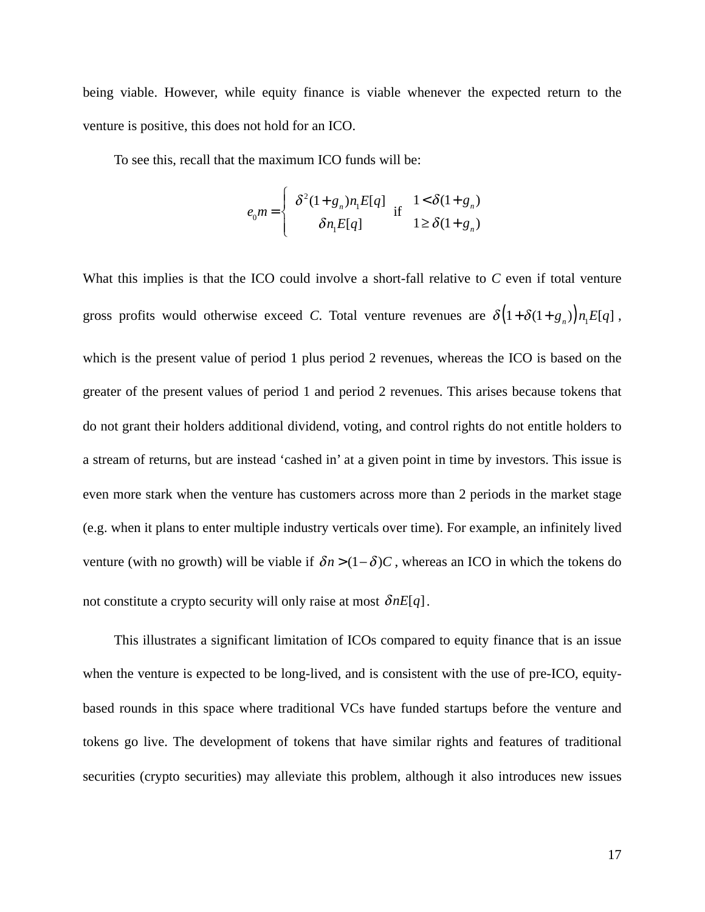being viable. However, while equity finance is viable whenever the expected return to the venture is positive, this does not hold for an ICO.

To see this, recall that the maximum ICO funds will be:

$$
e_0 m = \begin{cases} \delta^2 (1 + g_n) n_1 E[q] & \text{if } 1 < \delta (1 + g_n) \\ \delta n_1 E[q] & 1 \ge \delta (1 + g_n) \end{cases}
$$

What this implies is that the ICO could involve a short-fall relative to *C* even if total venture gross profits would otherwise exceed *C*. Total venture revenues are  $\delta(1+\delta(1+g_n))n_1E[q]$ , which is the present value of period 1 plus period 2 revenues, whereas the ICO is based on the greater of the present values of period 1 and period 2 revenues. This arises because tokens that do not grant their holders additional dividend, voting, and control rights do not entitle holders to a stream of returns, but are instead 'cashed in' at a given point in time by investors. This issue is even more stark when the venture has customers across more than 2 periods in the market stage (e.g. when it plans to enter multiple industry verticals over time). For example, an infinitely lived venture (with no growth) will be viable if  $\delta n > (1 - \delta)C$ , whereas an ICO in which the tokens do not constitute a crypto security will only raise at most  $\delta nE[q]$ .

This illustrates a significant limitation of ICOs compared to equity finance that is an issue when the venture is expected to be long-lived, and is consistent with the use of pre-ICO, equitybased rounds in this space where traditional VCs have funded startups before the venture and tokens go live. The development of tokens that have similar rights and features of traditional securities (crypto securities) may alleviate this problem, although it also introduces new issues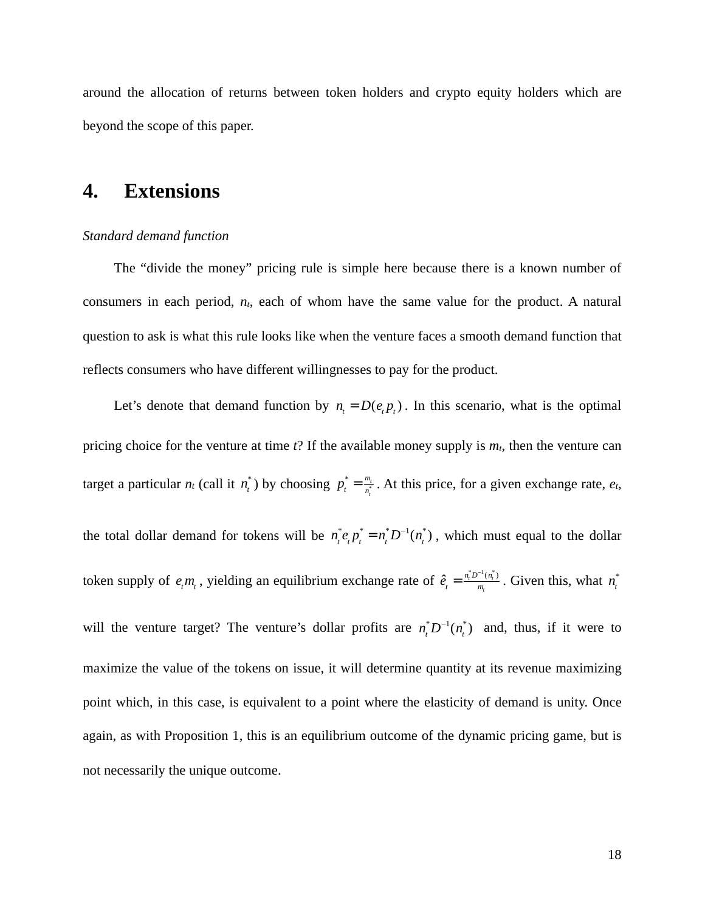around the allocation of returns between token holders and crypto equity holders which are beyond the scope of this paper.

### **4. Extensions**

#### *Standard demand function*

The "divide the money" pricing rule is simple here because there is a known number of consumers in each period, *nt*, each of whom have the same value for the product. A natural question to ask is what this rule looks like when the venture faces a smooth demand function that reflects consumers who have different willingnesses to pay for the product.

Let's denote that demand function by  $n_t = D(e_t p_t)$ . In this scenario, what is the optimal pricing choice for the venture at time  $t$ ? If the available money supply is  $m_t$ , then the venture can target a particular  $n_t$  (call it  $n_t^*$ ) by choosing  $p_t^* = \frac{m_t}{n_t^*}$ . At this price, for a given exchange rate,  $e_t$ , the total dollar demand for tokens will be  $n_t^* e_t p_t^* = n_t^* D^{-1}(n_t^*)$ , which must equal to the dollar token supply of  $e_i m_i$ , yielding an equilibrium exchange rate of  $\hat{e}_i = \frac{n_i^* D^{-1}(n_i^*)}{m_i}$ . Given this, what will the venture target? The venture's dollar profits are  $n_t^* D^{-1}(n_t^*)$  and, thus, if it were to maximize the value of the tokens on issue, it will determine quantity at its revenue maximizing point which, in this case, is equivalent to a point where the elasticity of demand is unity. Once again, as with Proposition 1, this is an equilibrium outcome of the dynamic pricing game, but is not necessarily the unique outcome.  $\frac{n_t^{n_t}}{m_t}$ . Given this, what  $n_t^*$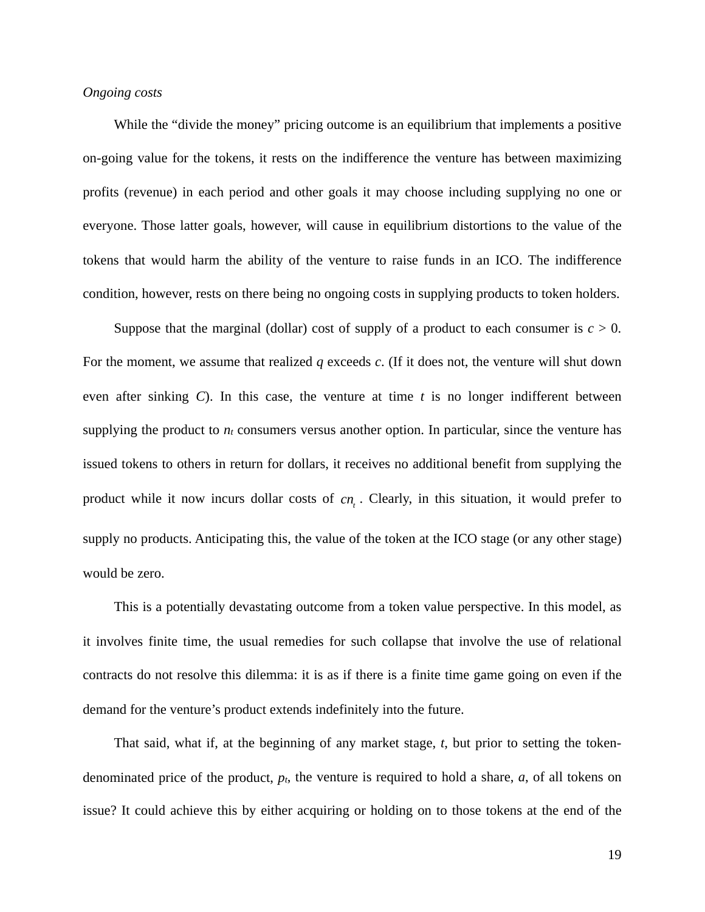#### *Ongoing costs*

While the "divide the money" pricing outcome is an equilibrium that implements a positive on-going value for the tokens, it rests on the indifference the venture has between maximizing profits (revenue) in each period and other goals it may choose including supplying no one or everyone. Those latter goals, however, will cause in equilibrium distortions to the value of the tokens that would harm the ability of the venture to raise funds in an ICO. The indifference condition, however, rests on there being no ongoing costs in supplying products to token holders.

Suppose that the marginal (dollar) cost of supply of a product to each consumer is  $c > 0$ . For the moment, we assume that realized *q* exceeds *c*. (If it does not, the venture will shut down even after sinking *C*). In this case, the venture at time *t* is no longer indifferent between supplying the product to  $n_t$  consumers versus another option. In particular, since the venture has issued tokens to others in return for dollars, it receives no additional benefit from supplying the product while it now incurs dollar costs of  $cn<sub>t</sub>$ . Clearly, in this situation, it would prefer to supply no products. Anticipating this, the value of the token at the ICO stage (or any other stage) would be zero.

This is a potentially devastating outcome from a token value perspective. In this model, as it involves finite time, the usual remedies for such collapse that involve the use of relational contracts do not resolve this dilemma: it is as if there is a finite time game going on even if the demand for the venture's product extends indefinitely into the future.

That said, what if, at the beginning of any market stage, *t*, but prior to setting the tokendenominated price of the product,  $p_t$ , the venture is required to hold a share,  $a$ , of all tokens on issue? It could achieve this by either acquiring or holding on to those tokens at the end of the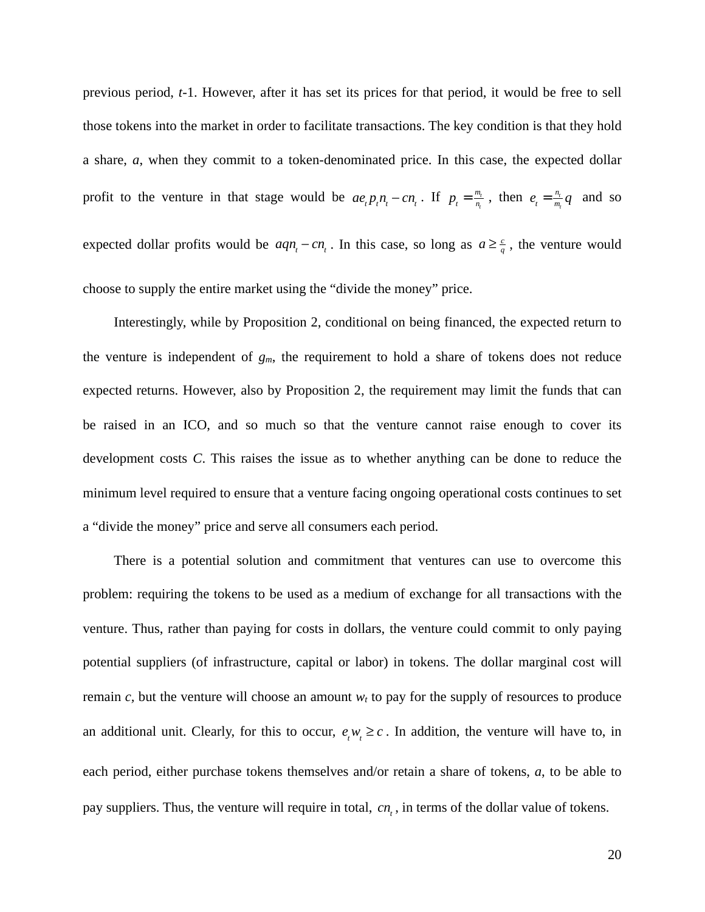previous period, *t*-1. However, after it has set its prices for that period, it would be free to sell those tokens into the market in order to facilitate transactions. The key condition is that they hold a share, *a*, when they commit to a token-denominated price. In this case, the expected dollar profit to the venture in that stage would be  $ae_{i}p_{t}n_{t} - cn_{t}$ . If  $p_{t} = \frac{m_{t}}{n_{t}}$ , then  $e_{t} = \frac{n_{t}}{m_{t}}q$  and so expected dollar profits would be  $aqn_r - cn_r$ . In this case, so long as  $a \geq \frac{c}{q}$ , the venture would choose to supply the entire market using the "divide the money" price.

Interestingly, while by Proposition 2, conditional on being financed, the expected return to the venture is independent of *gm*, the requirement to hold a share of tokens does not reduce expected returns. However, also by Proposition 2, the requirement may limit the funds that can be raised in an ICO, and so much so that the venture cannot raise enough to cover its development costs *C*. This raises the issue as to whether anything can be done to reduce the minimum level required to ensure that a venture facing ongoing operational costs continues to set a "divide the money" price and serve all consumers each period.

There is a potential solution and commitment that ventures can use to overcome this problem: requiring the tokens to be used as a medium of exchange for all transactions with the venture. Thus, rather than paying for costs in dollars, the venture could commit to only paying potential suppliers (of infrastructure, capital or labor) in tokens. The dollar marginal cost will remain  $c$ , but the venture will choose an amount  $w_t$  to pay for the supply of resources to produce an additional unit. Clearly, for this to occur,  $e_i w_i \ge c$ . In addition, the venture will have to, in each period, either purchase tokens themselves and/or retain a share of tokens, *a*, to be able to pay suppliers. Thus, the venture will require in total,  $cn<sub>t</sub>$ , in terms of the dollar value of tokens.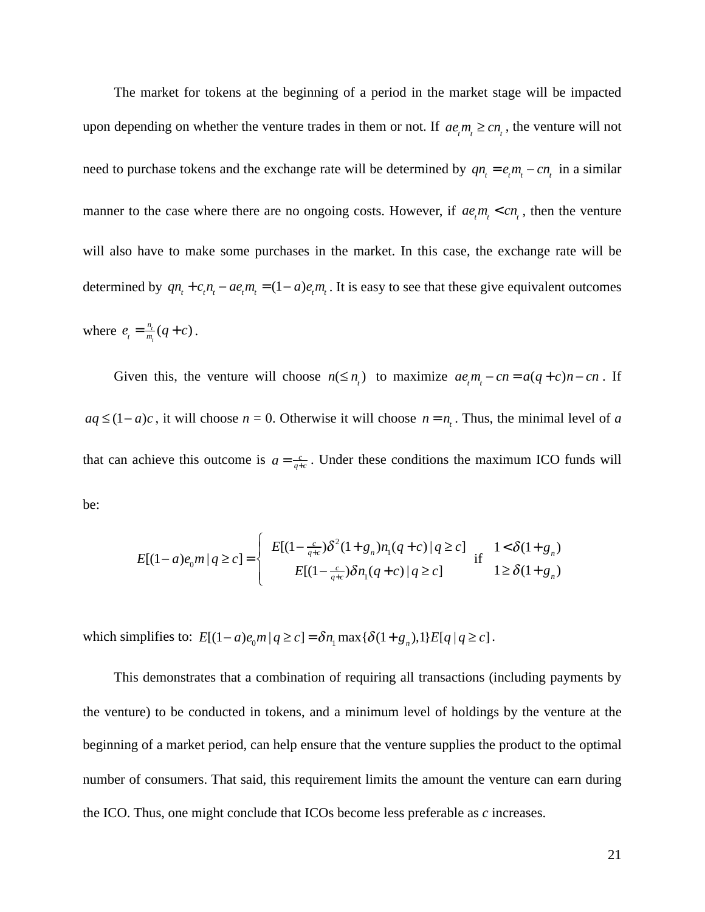The market for tokens at the beginning of a period in the market stage will be impacted upon depending on whether the venture trades in them or not. If  $ae_{t}m_{t} \geq cn_{t}$ , the venture will not need to purchase tokens and the exchange rate will be determined by  $qn_t = e_t m_t - cn_t$  in a similar manner to the case where there are no ongoing costs. However, if  $ae_i m t_i < cn t$ , then the venture will also have to make some purchases in the market. In this case, the exchange rate will be determined by  $qn_t + c_t n_t - ae_t m_t = (1 - a)e_t m_t$ . It is easy to see that these give equivalent outcomes where  $e_t = \frac{n_t}{m_t}(q + c)$ .

Given this, the venture will choose  $n(\leq n)$  to maximize  $ae_{n}n-cn = a(q+c)n - cn$ . If  $aq \leq (1 - a)c$ , it will choose  $n = 0$ . Otherwise it will choose  $n = n<sub>i</sub>$ . Thus, the minimal level of *a* that can achieve this outcome is  $a = \frac{c}{q+c}$ . Under these conditions the maximum ICO funds will be:

$$
E[(1-a)e_0m|q \ge c] = \begin{cases} E[(1-\frac{c}{q+c})\delta^2(1+g_n)n_{1}(q+c)|q \ge c] & \text{if } 1 < \delta(1+g_n) \\ E[(1-\frac{c}{q+c})\delta n_{1}(q+c)|q \ge c] & 1 \ge \delta(1+g_n) \end{cases}
$$

which simplifies to:  $E[(1-a)e_0m|q \ge c] = \delta n_1 \max{\{\delta(1+g_n),1\}E[q|q \ge c]}.$ 

This demonstrates that a combination of requiring all transactions (including payments by the venture) to be conducted in tokens, and a minimum level of holdings by the venture at the beginning of a market period, can help ensure that the venture supplies the product to the optimal number of consumers. That said, this requirement limits the amount the venture can earn during the ICO. Thus, one might conclude that ICOs become less preferable as *c* increases.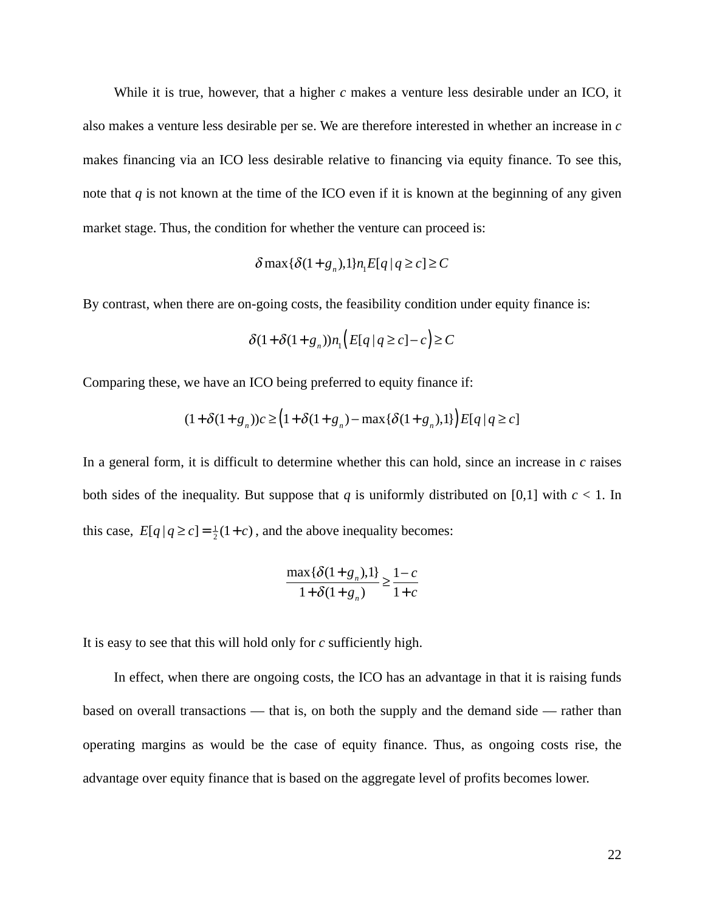While it is true, however, that a higher *c* makes a venture less desirable under an ICO, it also makes a venture less desirable per se. We are therefore interested in whether an increase in *c* makes financing via an ICO less desirable relative to financing via equity finance. To see this, note that *q* is not known at the time of the ICO even if it is known at the beginning of any given market stage. Thus, the condition for whether the venture can proceed is:

$$
\delta \max \{ \delta (1 + g_n), 1 \} n_1 E[q \mid q \ge c \} \ge C
$$

By contrast, when there are on-going costs, the feasibility condition under equity finance is:

$$
\delta(1+\delta(1+g_n))n_1(E[q|q\geq c]-c)\geq C
$$

Comparing these, we have an ICO being preferred to equity finance if:

$$
(1 + \delta(1 + g_n))c \ge \left(1 + \delta(1 + g_n) - \max\{\delta(1 + g_n), 1\}\right)E[q \mid q \ge c]
$$

In a general form, it is difficult to determine whether this can hold, since an increase in *c* raises both sides of the inequality. But suppose that *q* is uniformly distributed on [0,1] with  $c < 1$ . In this case,  $E[q | q \ge c] = \frac{1}{2}(1 + c)$ , and the above inequality becomes:

$$
\frac{\max\{\delta(1+g_n),1\}}{1+\delta(1+g_n)} \ge \frac{1-c}{1+c}
$$

It is easy to see that this will hold only for *c* sufficiently high.

In effect, when there are ongoing costs, the ICO has an advantage in that it is raising funds based on overall transactions — that is, on both the supply and the demand side — rather than operating margins as would be the case of equity finance. Thus, as ongoing costs rise, the advantage over equity finance that is based on the aggregate level of profits becomes lower.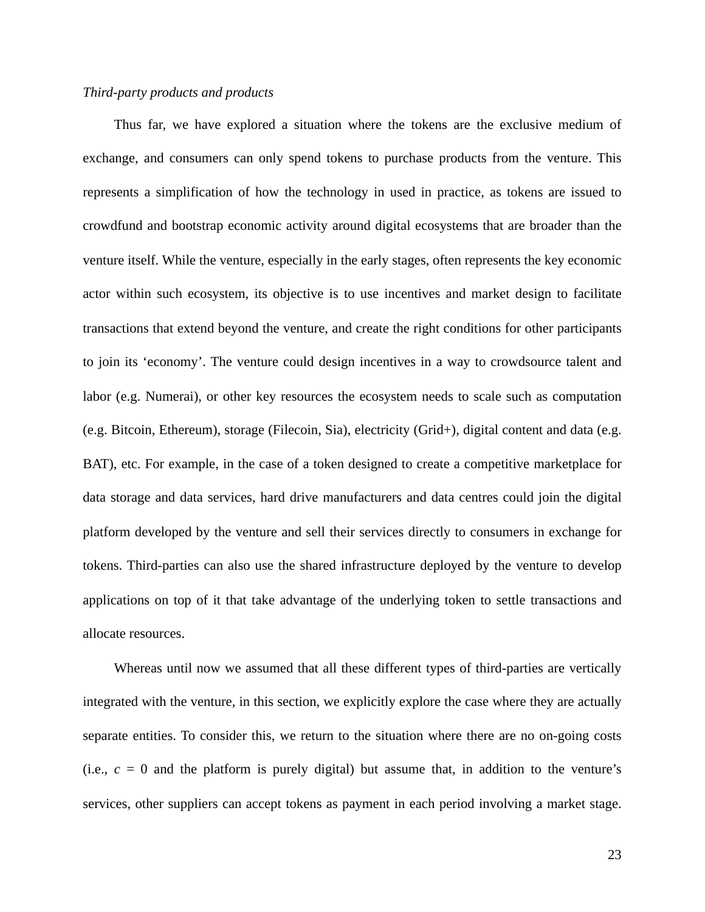#### *Third-party products and products*

Thus far, we have explored a situation where the tokens are the exclusive medium of exchange, and consumers can only spend tokens to purchase products from the venture. This represents a simplification of how the technology in used in practice, as tokens are issued to crowdfund and bootstrap economic activity around digital ecosystems that are broader than the venture itself. While the venture, especially in the early stages, often represents the key economic actor within such ecosystem, its objective is to use incentives and market design to facilitate transactions that extend beyond the venture, and create the right conditions for other participants to join its 'economy'. The venture could design incentives in a way to crowdsource talent and labor (e.g. Numerai), or other key resources the ecosystem needs to scale such as computation (e.g. Bitcoin, Ethereum), storage (Filecoin, Sia), electricity (Grid+), digital content and data (e.g. BAT), etc. For example, in the case of a token designed to create a competitive marketplace for data storage and data services, hard drive manufacturers and data centres could join the digital platform developed by the venture and sell their services directly to consumers in exchange for tokens. Third-parties can also use the shared infrastructure deployed by the venture to develop applications on top of it that take advantage of the underlying token to settle transactions and allocate resources.

Whereas until now we assumed that all these different types of third-parties are vertically integrated with the venture, in this section, we explicitly explore the case where they are actually separate entities. To consider this, we return to the situation where there are no on-going costs (i.e.,  $c = 0$  and the platform is purely digital) but assume that, in addition to the venture's services, other suppliers can accept tokens as payment in each period involving a market stage.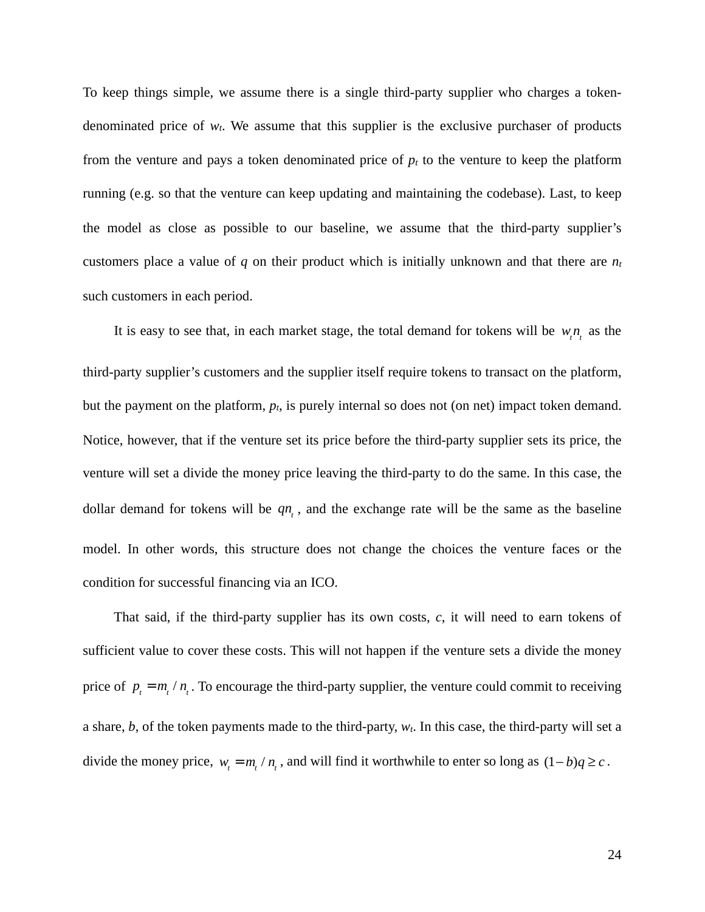To keep things simple, we assume there is a single third-party supplier who charges a tokendenominated price of *wt*. We assume that this supplier is the exclusive purchaser of products from the venture and pays a token denominated price of  $p_t$  to the venture to keep the platform running (e.g. so that the venture can keep updating and maintaining the codebase). Last, to keep the model as close as possible to our baseline, we assume that the third-party supplier's customers place a value of *q* on their product which is initially unknown and that there are *nt* such customers in each period.

It is easy to see that, in each market stage, the total demand for tokens will be  $w_t n_t$  as the third-party supplier's customers and the supplier itself require tokens to transact on the platform, but the payment on the platform, *pt*, is purely internal so does not (on net) impact token demand. Notice, however, that if the venture set its price before the third-party supplier sets its price, the venture will set a divide the money price leaving the third-party to do the same. In this case, the dollar demand for tokens will be  $qn_t$ , and the exchange rate will be the same as the baseline model. In other words, this structure does not change the choices the venture faces or the condition for successful financing via an ICO.

That said, if the third-party supplier has its own costs, *c*, it will need to earn tokens of sufficient value to cover these costs. This will not happen if the venture sets a divide the money price of  $p_t = m_t / n_t$ . To encourage the third-party supplier, the venture could commit to receiving a share, *b*, of the token payments made to the third-party, *wt*. In this case, the third-party will set a divide the money price,  $w_t = m_t / n_t$ , and will find it worthwhile to enter so long as  $(1-b)q \ge c$ .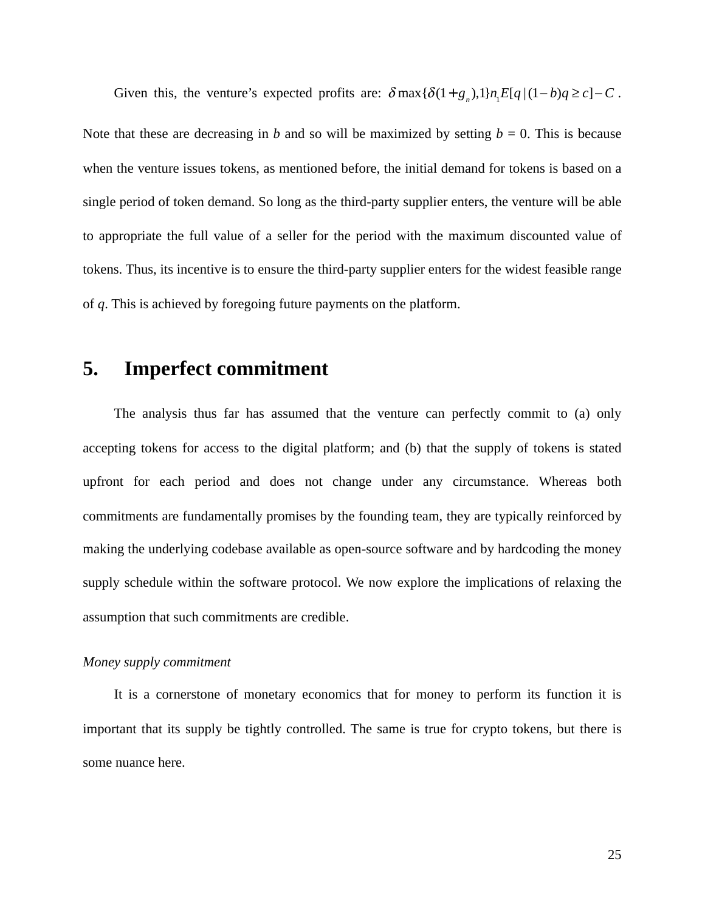Given this, the venture's expected profits are:  $\delta$  max $\{\delta(1+g_n),1\}n_1E[q|(1-b)q \ge c] - C$ .

Note that these are decreasing in *b* and so will be maximized by setting  $b = 0$ . This is because when the venture issues tokens, as mentioned before, the initial demand for tokens is based on a single period of token demand. So long as the third-party supplier enters, the venture will be able to appropriate the full value of a seller for the period with the maximum discounted value of tokens. Thus, its incentive is to ensure the third-party supplier enters for the widest feasible range of *q*. This is achieved by foregoing future payments on the platform.

### **5. Imperfect commitment**

The analysis thus far has assumed that the venture can perfectly commit to (a) only accepting tokens for access to the digital platform; and (b) that the supply of tokens is stated upfront for each period and does not change under any circumstance. Whereas both commitments are fundamentally promises by the founding team, they are typically reinforced by making the underlying codebase available as open-source software and by hardcoding the money supply schedule within the software protocol. We now explore the implications of relaxing the assumption that such commitments are credible.

### *Money supply commitment*

It is a cornerstone of monetary economics that for money to perform its function it is important that its supply be tightly controlled. The same is true for crypto tokens, but there is some nuance here.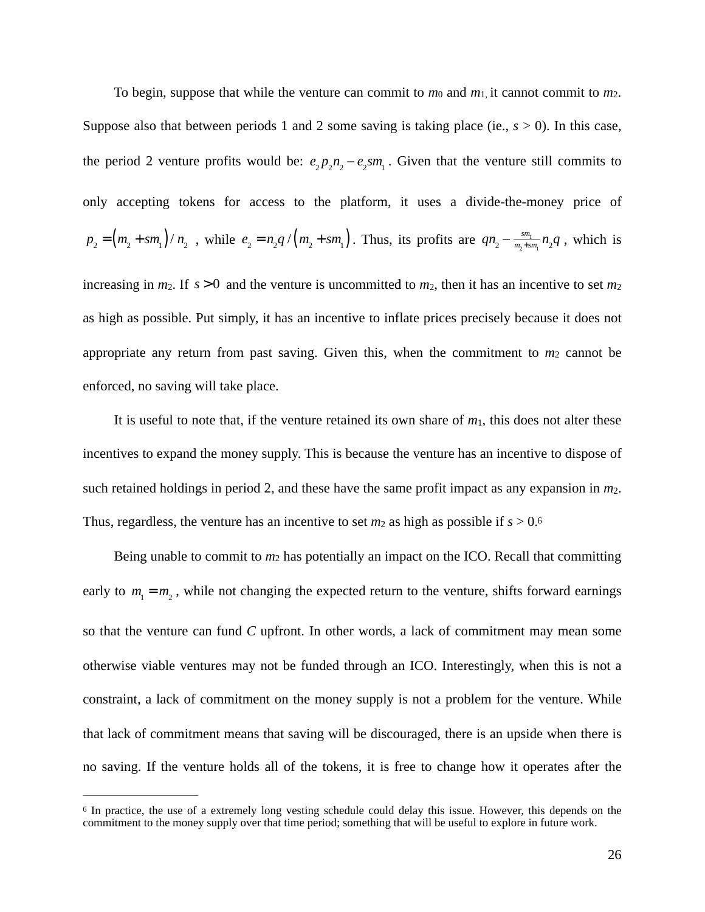To begin, suppose that while the venture can commit to  $m_0$  and  $m_1$ , it cannot commit to  $m_2$ . Suppose also that between periods 1 and 2 some saving is taking place (ie., *s* > 0). In this case, the period 2 venture profits would be:  $e_2 p_2 n_2 - e_2 s m_1$ . Given that the venture still commits to only accepting tokens for access to the platform, it uses a divide-the-money price of  $p_2 = (m_2 + sm_1)/n_2$ , while  $e_2 = n_2q/(m_2 + sm_1)$ . Thus, its profits are  $qn_2 - \frac{sm_1}{m_2 + sm_1}n_2q$ , which is

increasing in  $m_2$ . If  $s > 0$  and the venture is uncommitted to  $m_2$ , then it has an incentive to set  $m_2$ as high as possible. Put simply, it has an incentive to inflate prices precisely because it does not appropriate any return from past saving. Given this, when the commitment to  $m<sub>2</sub>$  cannot be enforced, no saving will take place.

It is useful to note that, if the venture retained its own share of  $m_1$ , this does not alter these incentives to expand the money supply. This is because the venture has an incentive to dispose of such retained holdings in period 2, and these have the same profit impact as any expansion in *m*2. Thus, regardless, the venture has an incentive to set  $m_2$  as high as possible if  $s > 0.6$  $s > 0.6$ 

<span id="page-27-1"></span>Being unable to commit to *m*2 has potentially an impact on the ICO. Recall that committing early to  $m_1 = m_2$ , while not changing the expected return to the venture, shifts forward earnings so that the venture can fund *C* upfront. In other words, a lack of commitment may mean some otherwise viable ventures may not be funded through an ICO. Interestingly, when this is not a constraint, a lack of commitment on the money supply is not a problem for the venture. While that lack of commitment means that saving will be discouraged, there is an upside when there is no saving. If the venture holds all of the tokens, it is free to change how it operates after the

<span id="page-27-0"></span><sup>&</sup>lt;sup>[6](#page-27-1)</sup> In practice, the use of a extremely long vesting schedule could delay this issue. However, this depends on the commitment to the money supply over that time period; something that will be useful to explore in future work.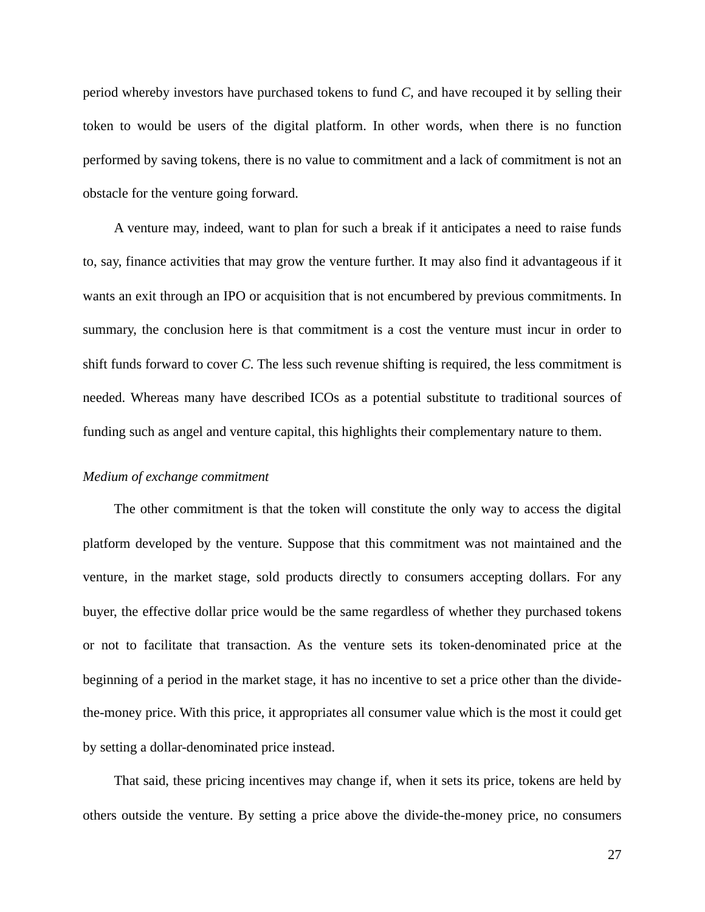period whereby investors have purchased tokens to fund *C,* and have recouped it by selling their token to would be users of the digital platform. In other words, when there is no function performed by saving tokens, there is no value to commitment and a lack of commitment is not an obstacle for the venture going forward.

A venture may, indeed, want to plan for such a break if it anticipates a need to raise funds to, say, finance activities that may grow the venture further. It may also find it advantageous if it wants an exit through an IPO or acquisition that is not encumbered by previous commitments. In summary, the conclusion here is that commitment is a cost the venture must incur in order to shift funds forward to cover *C*. The less such revenue shifting is required, the less commitment is needed. Whereas many have described ICOs as a potential substitute to traditional sources of funding such as angel and venture capital, this highlights their complementary nature to them.

#### *Medium of exchange commitment*

The other commitment is that the token will constitute the only way to access the digital platform developed by the venture. Suppose that this commitment was not maintained and the venture, in the market stage, sold products directly to consumers accepting dollars. For any buyer, the effective dollar price would be the same regardless of whether they purchased tokens or not to facilitate that transaction. As the venture sets its token-denominated price at the beginning of a period in the market stage, it has no incentive to set a price other than the dividethe-money price. With this price, it appropriates all consumer value which is the most it could get by setting a dollar-denominated price instead.

That said, these pricing incentives may change if, when it sets its price, tokens are held by others outside the venture. By setting a price above the divide-the-money price, no consumers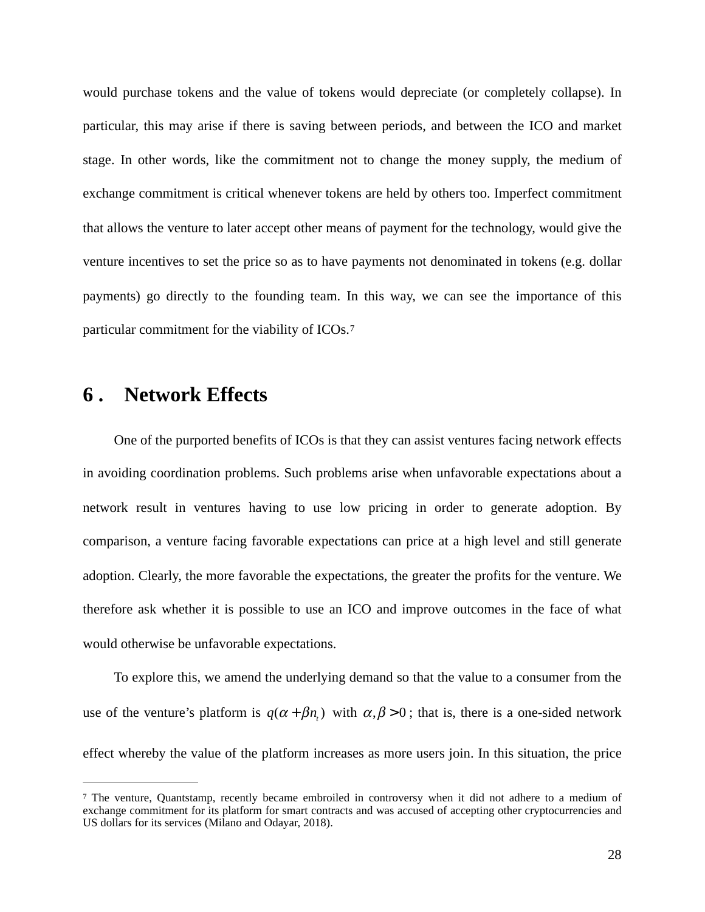would purchase tokens and the value of tokens would depreciate (or completely collapse). In particular, this may arise if there is saving between periods, and between the ICO and market stage. In other words, like the commitment not to change the money supply, the medium of exchange commitment is critical whenever tokens are held by others too. Imperfect commitment that allows the venture to later accept other means of payment for the technology, would give the venture incentives to set the price so as to have payments not denominated in tokens (e.g. dollar payments) go directly to the founding team. In this way, we can see the importance of this particular commitment for the viability of ICOs.[7](#page-29-0)

# <span id="page-29-1"></span>**6 . Network Effects**

One of the purported benefits of ICOs is that they can assist ventures facing network effects in avoiding coordination problems. Such problems arise when unfavorable expectations about a network result in ventures having to use low pricing in order to generate adoption. By comparison, a venture facing favorable expectations can price at a high level and still generate adoption. Clearly, the more favorable the expectations, the greater the profits for the venture. We therefore ask whether it is possible to use an ICO and improve outcomes in the face of what would otherwise be unfavorable expectations.

To explore this, we amend the underlying demand so that the value to a consumer from the use of the venture's platform is  $q(\alpha + \beta n)$  with  $\alpha, \beta > 0$ ; that is, there is a one-sided network effect whereby the value of the platform increases as more users join. In this situation, the price

<span id="page-29-0"></span>The venture, Quantstamp, recently became embroiled in controversy when it did not adhere to a medium of [7](#page-29-1) exchange commitment for its platform for smart contracts and was accused of accepting other cryptocurrencies and US dollars for its services (Milano and Odayar, 2018).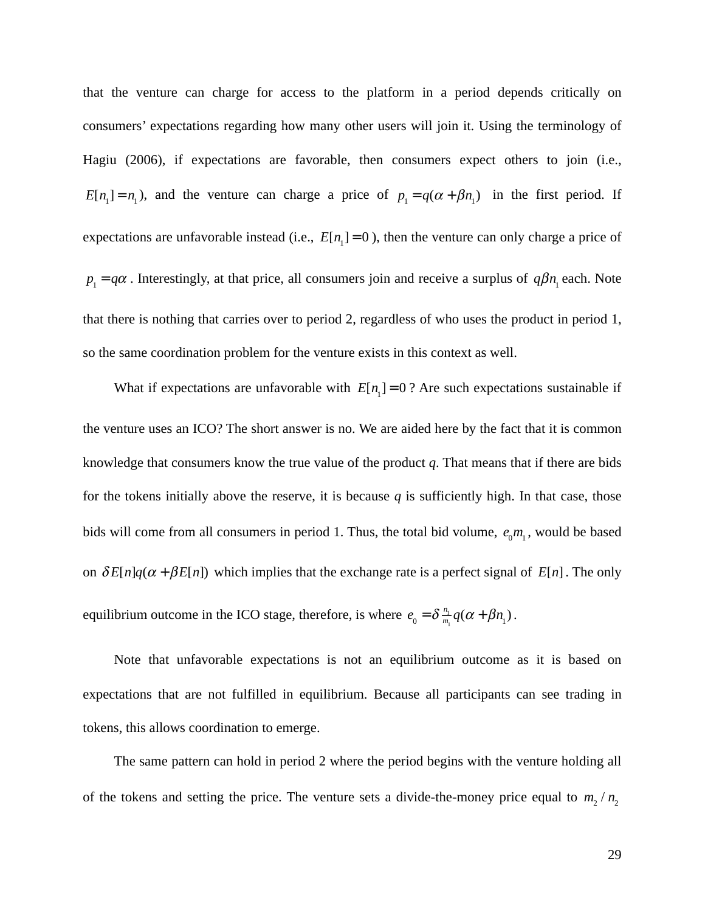that the venture can charge for access to the platform in a period depends critically on consumers' expectations regarding how many other users will join it. Using the terminology of Hagiu (2006), if expectations are favorable, then consumers expect others to join (i.e.,  $E[n_1] = n_1$ , and the venture can charge a price of  $p_1 = q(\alpha + \beta n_1)$  in the first period. If expectations are unfavorable instead (i.e.,  $E[n_1] = 0$ ), then the venture can only charge a price of  $p_1 = q\alpha$ . Interestingly, at that price, all consumers join and receive a surplus of  $q\beta n_1$  each. Note that there is nothing that carries over to period 2, regardless of who uses the product in period 1, so the same coordination problem for the venture exists in this context as well.

What if expectations are unfavorable with  $E[n_1] = 0$ ? Are such expectations sustainable if the venture uses an ICO? The short answer is no. We are aided here by the fact that it is common knowledge that consumers know the true value of the product *q*. That means that if there are bids for the tokens initially above the reserve, it is because  $q$  is sufficiently high. In that case, those bids will come from all consumers in period 1. Thus, the total bid volume,  $e_0m_1$ , would be based on  $\delta E[n]q(\alpha + \beta E[n])$  which implies that the exchange rate is a perfect signal of  $E[n]$ . The only equilibrium outcome in the ICO stage, therefore, is where  $e_0 = \delta \frac{n_1}{m_1} q(\alpha + \beta n_1)$ .

Note that unfavorable expectations is not an equilibrium outcome as it is based on expectations that are not fulfilled in equilibrium. Because all participants can see trading in tokens, this allows coordination to emerge.

The same pattern can hold in period 2 where the period begins with the venture holding all of the tokens and setting the price. The venture sets a divide-the-money price equal to  $m_2 / n_2$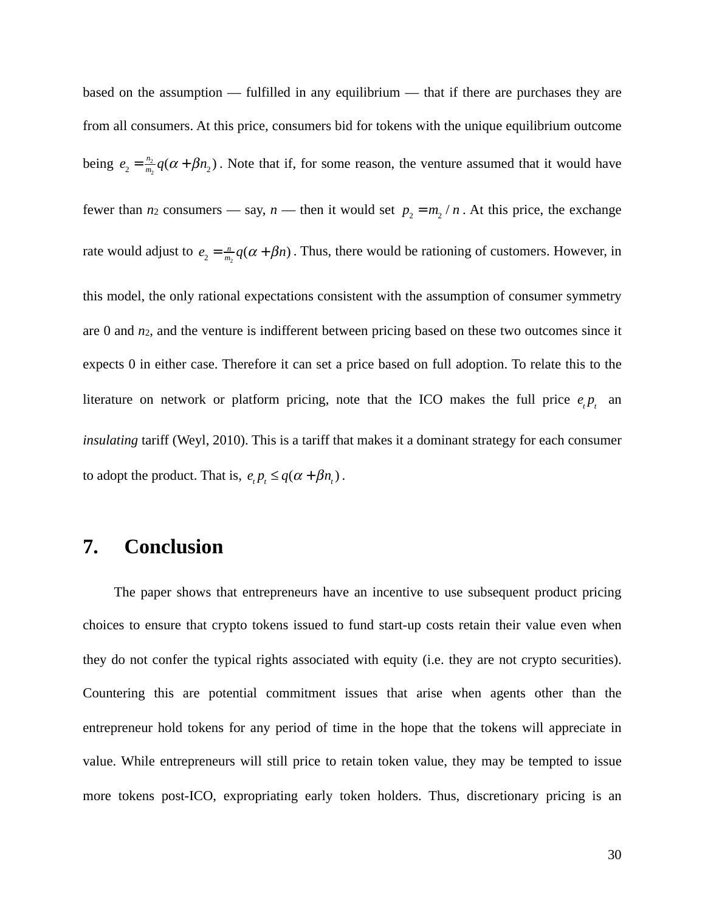based on the assumption — fulfilled in any equilibrium — that if there are purchases they are from all consumers. At this price, consumers bid for tokens with the unique equilibrium outcome being  $e_2 = \frac{n_2}{m_2} q(\alpha + \beta n_2)$ . Note that if, for some reason, the venture assumed that it would have fewer than *n*<sub>2</sub> consumers — say, *n* — then it would set  $p_2 = m_2 / n$ . At this price, the exchange rate would adjust to  $e_2 = \frac{n}{m_2} q(\alpha + \beta n)$ . Thus, there would be rationing of customers. However, in this model, the only rational expectations consistent with the assumption of consumer symmetry are 0 and *n*2, and the venture is indifferent between pricing based on these two outcomes since it expects 0 in either case. Therefore it can set a price based on full adoption. To relate this to the literature on network or platform pricing, note that the ICO makes the full price  $e_i p_i$  and *insulating* tariff (Weyl, 2010). This is a tariff that makes it a dominant strategy for each consumer to adopt the product. That is,  $e_t p_t \leq q(\alpha + \beta n_t)$ .

### **7. Conclusion**

The paper shows that entrepreneurs have an incentive to use subsequent product pricing choices to ensure that crypto tokens issued to fund start-up costs retain their value even when they do not confer the typical rights associated with equity (i.e. they are not crypto securities). Countering this are potential commitment issues that arise when agents other than the entrepreneur hold tokens for any period of time in the hope that the tokens will appreciate in value. While entrepreneurs will still price to retain token value, they may be tempted to issue more tokens post-ICO, expropriating early token holders. Thus, discretionary pricing is an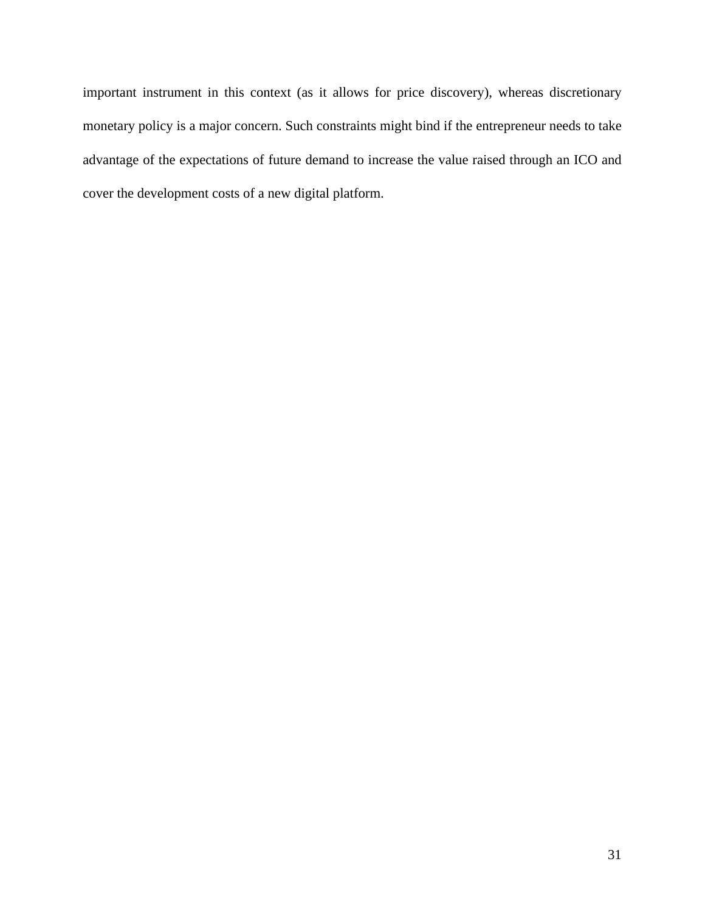important instrument in this context (as it allows for price discovery), whereas discretionary monetary policy is a major concern. Such constraints might bind if the entrepreneur needs to take advantage of the expectations of future demand to increase the value raised through an ICO and cover the development costs of a new digital platform.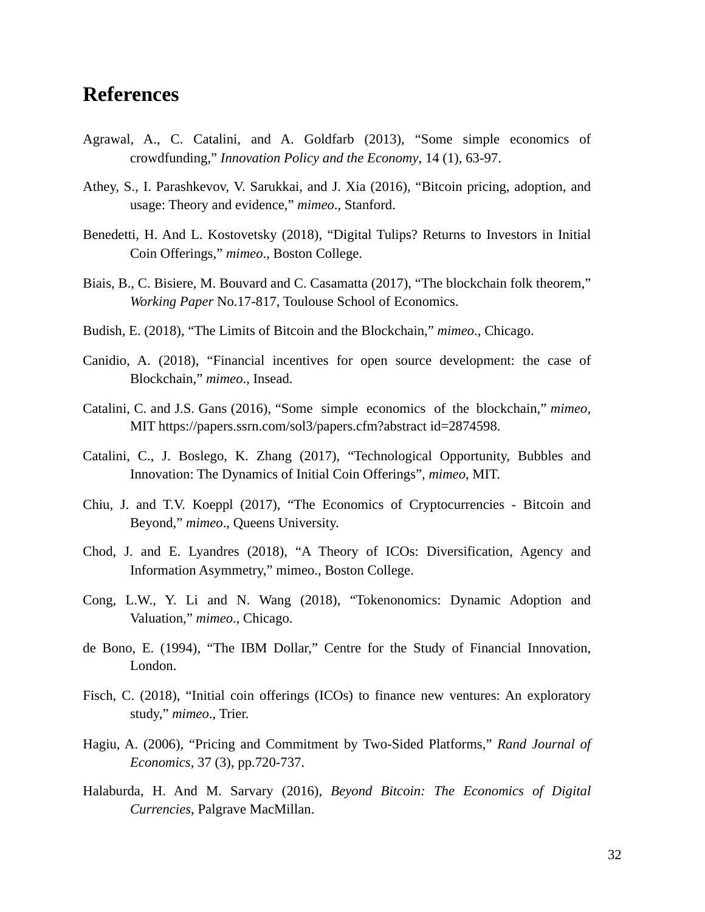## **References**

- Agrawal, A., C. Catalini, and A. Goldfarb (2013), "Some simple economics of crowdfunding," *Innovation Policy and the Economy*, 14 (1), 63-97.
- Athey, S., I. Parashkevov, V. Sarukkai, and J. Xia (2016), "Bitcoin pricing, adoption, and usage: Theory and evidence," *mimeo*., Stanford.
- Benedetti, H. And L. Kostovetsky (2018), "Digital Tulips? Returns to Investors in Initial Coin Offerings," *mimeo*., Boston College.
- Biais, B., C. Bisiere, M. Bouvard and C. Casamatta (2017), "The blockchain folk theorem," *Working Paper* No.17-817, Toulouse School of Economics.
- Budish, E. (2018), "The Limits of Bitcoin and the Blockchain," *mimeo*., Chicago.
- Canidio, A. (2018), "Financial incentives for open source development: the case of Blockchain," *mimeo*., Insead.
- Catalini, C. and J.S. Gans (2016), "Some simple economics of the blockchain," *mimeo*, MIT https://papers.ssrn.com/sol3/papers.cfm?abstract id=2874598.
- Catalini, C., J. Boslego, K. Zhang (2017), "Technological Opportunity, Bubbles and Innovation: The Dynamics of Initial Coin Offerings", *mimeo*, MIT.
- Chiu, J. and T.V. Koeppl (2017), "The Economics of Cryptocurrencies Bitcoin and Beyond," *mimeo*., Queens University.
- Chod, J. and E. Lyandres (2018), "A Theory of ICOs: Diversification, Agency and Information Asymmetry," mimeo., Boston College.
- Cong, L.W., Y. Li and N. Wang (2018), "Tokenonomics: Dynamic Adoption and Valuation," *mimeo*., Chicago.
- de Bono, E. (1994), "The IBM Dollar," Centre for the Study of Financial Innovation, London.
- Fisch, C. (2018), "Initial coin offerings (ICOs) to finance new ventures: An exploratory study," *mimeo*., Trier.
- Hagiu, A. (2006), "Pricing and Commitment by Two-Sided Platforms," *Rand Journal of Economics*, 37 (3), pp.720-737.
- Halaburda, H. And M. Sarvary (2016), *Beyond Bitcoin: The Economics of Digital Currencies*, Palgrave MacMillan.